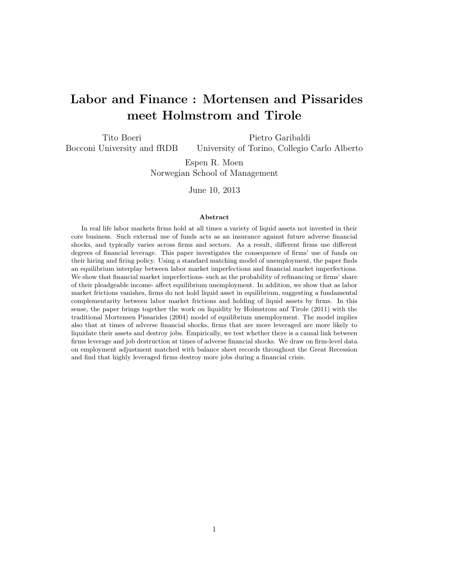# Labor and Finance : Mortensen and Pissarides meet Holmstrom and Tirole

Tito Boeri Bocconi University and fRDB Pietro Garibaldi University of Torino, Collegio Carlo Alberto

> Espen R. Moen Norwegian School of Management

> > June 10, 2013

#### Abstract

In real life labor markets firms hold at all times a variety of liquid assets not invested in their core business. Such external use of funds acts as an insurance against future adverse financial shocks, and typically varies across firms and sectors. As a result, different firms use different degrees of financial leverage. This paper investigates the consequence of firms' use of funds on their hiring and firing policy. Using a standard matching model of unemployment, the paper finds an equilibrium interplay between labor market imperfections and financial market imperfections. We show that financial market imperfections- such as the probability of refinancing or firms' share of their pleadgeable income- affect equilibrium unemployment. In addition, we show that as labor market frictions vanishes, firms do not hold liquid asset in equilibrium, suggesting a fundamental complementarity between labor market frictions and holding of liquid assets by firms. In this sense, the paper brings together the work on liquidity by Holmstrom anf Tirole (2011) with the traditional Mortensen Pissarides (2004) model of equilibrium unemployment. The model implies also that at times of adverse financial shocks, firms that are more leveraged are more likely to liquidate their assets and destroy jobs. Empirically, we test whether there is a causal link between firms leverage and job destruction at times of adverse financial shocks. We draw on firm-level data on employment adjustment matched with balance sheet records throughout the Great Recession and find that highly leveraged firms destroy more jobs during a financial crisis.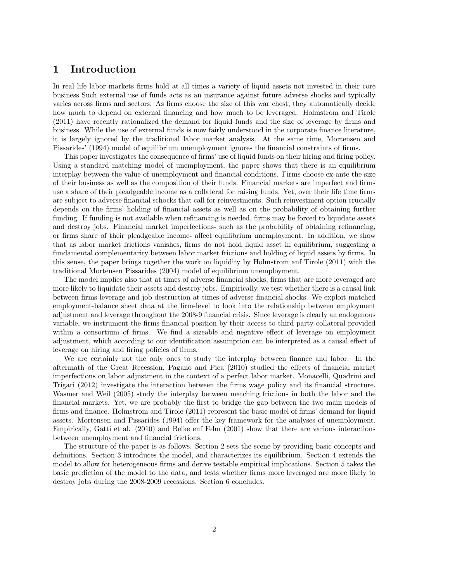### 1 Introduction

In real life labor markets firms hold at all times a variety of liquid assets not invested in their core business Such external use of funds acts as an insurance against future adverse shocks and typically varies across firms and sectors. As firms choose the size of this war chest, they automatically decide how much to depend on external financing and how much to be leveraged. Holmstrom and Tirole (2011) have recently rationalized the demand for liquid funds and the size of leverage by firms and business. While the use of external funds is now fairly understood in the corporate finance literature, it is largely ignored by the traditional labor market analysis. At the same time, Mortensen and Pissarides' (1994) model of equilibrium unemployment ignores the financial constraints of firms.

This paper investigates the consequence of firms' use of liquid funds on their hiring and firing policy. Using a standard matching model of unemployment, the paper shows that there is an equilibrium interplay between the value of unemployment and financial conditions. Firms choose ex-ante the size of their business as well as the composition of their funds. Financial markets are imperfect and firms use a share of their pleadgeable income as a collateral for raising funds. Yet, over their life time firms are subject to adverse financial schocks that call for reinvestments. Such reinvestment option crucially depends on the firms' holding of financial assets as well as on the probability of obtaining further funding. If funding is not available when refinancing is needed, firms may be forced to liquidate assets and destroy jobs. Financial market imperfections- such as the probability of obtaining refinancing, or firms share of their pleadgeable income- affect equilibrium unemployment. In addition, we show that as labor market frictions vanishes, firms do not hold liquid asset in equilibrium, suggesting a fundamental complementarity between labor market frictions and holding of liquid assets by firms. In this sense, the paper brings together the work on liquidity by Holmstrom anf Tirole (2011) with the traditional Mortensen Pissarides (2004) model of equilibrium unemployment.

The model implies also that at times of adverse financial shocks, firms that are more leveraged are more likely to liquidate their assets and destroy jobs. Empirically, we test whether there is a causal link between firms leverage and job destruction at times of adverse financial shocks. We exploit matched employment-balance sheet data at the firm-level to look into the relationship between employment adjustment and leverage throughout the 2008-9 financial crisis. Since leverage is clearly an endogenous variable, we instrument the firms financial position by their access to third party collateral provided within a consortium of firms. We find a sizeable and negative effect of leverage on employment adjustment, which according to our identification assumption can be interpreted as a causal effect of leverage on hiring and firing policies of firms.

We are certainly not the only ones to study the interplay between finance and labor. In the aftermath of the Great Recession, Pagano and Pica (2010) studied the effects of financial market imperfections on labor adjustment in the context of a perfect labor market. Monacelli, Quadrini and Trigari (2012) investigate the interaction between the firms wage policy and its financial structure. Wasmer and Weil (2005) study the interplay between matching frictions in both the labor and the financial markets. Yet, we are probably the first to bridge the gap between the two main models of firms and finance. Holmstrom and Tirole (2011) represent the basic model of firms' demand for liquid assets. Mortensen and Pissarides (1994) offer the key framework for the analyses of unemployment. Empirically, Gatti et al. (2010) and Belke enf Fehn (2001) show that there are various interactions between unemployment and financial frictions.

The structure of the paper is as follows. Section 2 sets the scene by providing basic concepts and definitions. Section 3 introduces the model, and characterizes its equilibrium. Section 4 extends the model to allow for heterogeneous firms and derive testable empirical implications. Section 5 takes the basic prediction of the model to the data, and tests whether firms more leveraged are more likely to destroy jobs during the 2008-2009 recessions. Section 6 concludes.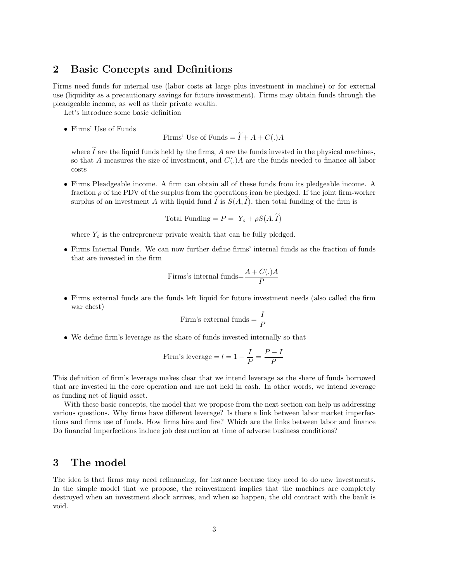### 2 Basic Concepts and Definitions

Firms need funds for internal use (labor costs at large plus investment in machine) or for external use (liquidity as a precautionary savings for future investment). Firms may obtain funds through the pleadgeable income, as well as their private wealth.

Let's introduce some basic definition

• Firms' Use of Funds

Firms' Use of Funds  $= \widetilde{I} + A + C(.)A$ 

where  $\tilde{I}$  are the liquid funds held by the firms, A are the funds invested in the physical machines, so that A measures the size of investment, and  $C(.)$  A are the funds needed to finance all labor costs

• Firms Pleadgeable income. A firm can obtain all of these funds from its pledgeable income. A fraction  $\rho$  of the PDV of the surplus from the operations ican be pledged. If the joint firm-worker surplus of an investment A with liquid fund I is  $S(A, I)$ , then total funding of the firm is

$$
Total Funding = P = Y_o + \rho S(A, \tilde{I})
$$

where  $Y<sub>o</sub>$  is the entrepreneur private wealth that can be fully pledged.

• Firms Internal Funds. We can now further define firms' internal funds as the fraction of funds that are invested in the firm

Firms's internal funds=
$$
\frac{A+C(.)A}{P}
$$

• Firms external funds are the funds left liquid for future investment needs (also called the firm war chest)

Firm's external funds = 
$$
\frac{I}{P}
$$

• We define firm's leverage as the share of funds invested internally so that

Firm's leverage = 
$$
l = 1 - \frac{I}{P} = \frac{P - I}{P}
$$

This definition of firm's leverage makes clear that we intend leverage as the share of funds borrowed that are invested in the core operation and are not held in cash. In other words, we intend leverage as funding net of liquid asset.

With these basic concepts, the model that we propose from the next section can help us addressing various questions. Why firms have different leverage? Is there a link between labor market imperfections and firms use of funds. How firms hire and fire? Which are the links between labor and finance Do financial imperfections induce job destruction at time of adverse business conditions?

### 3 The model

The idea is that firms may need refinancing, for instance because they need to do new investments. In the simple model that we propose, the reinvestment implies that the machines are completely destroyed when an investment shock arrives, and when so happen, the old contract with the bank is void.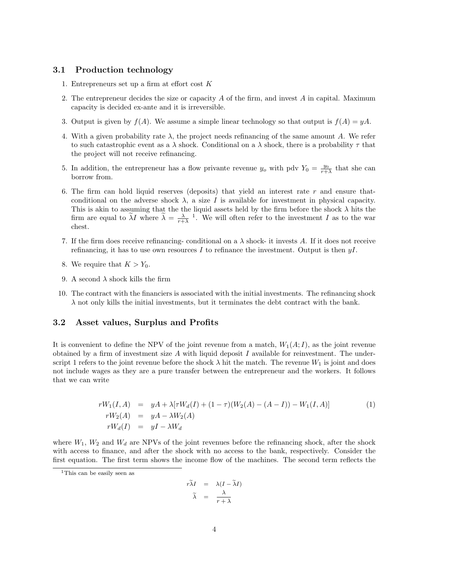#### 3.1 Production technology

- 1. Entrepreneurs set up a firm at effort cost K
- 2. The entrepreneur decides the size or capacity A of the firm, and invest A in capital. Maximum capacity is decided ex-ante and it is irreversible.
- 3. Output is given by  $f(A)$ . We assume a simple linear technology so that output is  $f(A) = yA$ .
- 4. With a given probability rate  $\lambda$ , the project needs refinancing of the same amount A. We refer to such catastrophic event as a  $\lambda$  shock. Conditional on a  $\lambda$  shock, there is a probability  $\tau$  that the project will not receive refinancing.
- 5. In addition, the entrepreneur has a flow privante revenue  $y_o$  with pdv  $Y_0 = \frac{y_0}{r+\lambda}$  that she can borrow from.
- 6. The firm can hold liquid reserves (deposits) that yield an interest rate r and ensure thatconditional on the adverse shock  $\lambda$ , a size I is available for investment in physical capacity. This is akin to assuming that the the liquid assets held by the firm before the shock  $\lambda$  hits the firm are equal to  $\tilde{\lambda}I$  where  $\tilde{\lambda} = \frac{\lambda}{r+\lambda}$ . We will often refer to the investment I as to the war chest.
- 7. If the firm does receive refinancing- conditional on a  $\lambda$  shock- it invests A. If it does not receive refinancing, it has to use own resources I to refinance the investment. Output is then  $yI$ .
- 8. We require that  $K > Y_0$ .
- 9. A second  $\lambda$  shock kills the firm
- 10. The contract with the financiers is associated with the initial investments. The refinancing shock  $\lambda$  not only kills the initial investments, but it terminates the debt contract with the bank.

#### 3.2 Asset values, Surplus and Profits

It is convenient to define the NPV of the joint revenue from a match,  $W_1(A; I)$ , as the joint revenue obtained by a firm of investment size  $A$  with liquid deposit  $I$  available for reinvestment. The underscript 1 refers to the joint revenue before the shock  $\lambda$  hit the match. The revenue  $W_1$  is joint and does not include wages as they are a pure transfer between the entrepreneur and the workers. It follows that we can write

$$
rW_1(I, A) = yA + \lambda [\tau W_d(I) + (1 - \tau)(W_2(A) - (A - I)) - W_1(I, A)]
$$
  
\n
$$
rW_2(A) = yA - \lambda W_2(A)
$$
  
\n
$$
rW_d(I) = yI - \lambda W_d
$$
\n(1)

where  $W_1$ ,  $W_2$  and  $W_d$  are NPVs of the joint revenues before the refinancing shock, after the shock with access to finance, and after the shock with no access to the bank, respectively. Consider the first equation. The first term shows the income flow of the machines. The second term reflects the

$$
r\tilde{\lambda}I = \lambda(I - \tilde{\lambda}I)
$$

$$
\tilde{\lambda} = \frac{\lambda}{r + \lambda}
$$

<sup>&</sup>lt;sup>1</sup>This can be easily seen as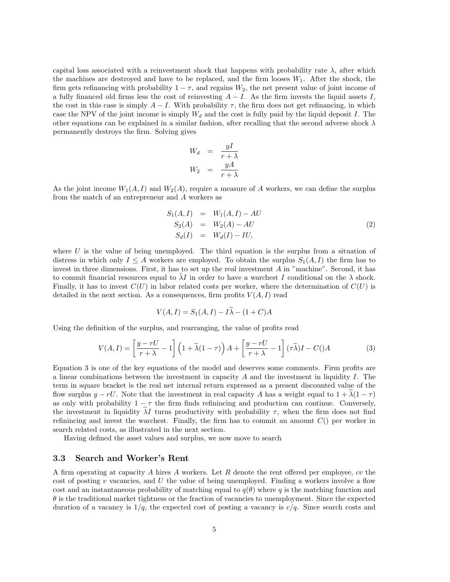capital loss associated with a reinvestment shock that happens with probability rate  $\lambda$ , after which the machines are destroyed and have to be replaced, and the firm looses  $W_1$ . After the shock, the firm gets refinancing with probability  $1 - \tau$ , and regains  $W_2$ , the net present value of joint income of a fully financed old firms less the cost of reinvesting  $A - I$ . As the firm invests the liquid assets I, the cost in this case is simply  $A - I$ . With probability  $\tau$ , the firm does not get refinancing, in which case the NPV of the joint income is simply  $W_d$  and the cost is fully paid by the liquid deposit I. The other equations can be explained in a similar fashion, after recalling that the second adverse shock  $\lambda$ permanently destroys the firm. Solving gives

$$
W_d = \frac{yI}{r + \lambda}
$$
  

$$
W_2 = \frac{yA}{r + \lambda}
$$

As the joint income  $W_1(A, I)$  and  $W_2(A)$ , require a measure of A workers, we can define the surplus from the match of an entrepreneur and A workers as

$$
S_1(A, I) = W_1(A, I) - AU \nS_2(A) = W_2(A) - AU \nS_d(I) = W_d(I) - IU,
$$
\n(2)

where  $U$  is the value of being unemployed. The third equation is the surplus from a situation of distress in which only  $I \leq A$  workers are employed. To obtain the surplus  $S_1(A, I)$  the firm has to invest in three dimensions. First, it has to set up the real investment A in "machine". Second, it has to commit financial resources equal to  $\lambda I$  in order to have a warchest I conditional on the  $\lambda$  shock. Finally, it has to invest  $C(U)$  in labor related costs per worker, where the determination of  $C(U)$  is detailed in the next section. As a consequences, firm profits  $V(A, I)$  read

$$
V(A, I) = S_1(A, I) - I\tilde{\lambda} - (1 + C)A
$$

Using the definition of the surplus, and rearranging, the value of profits read

$$
V(A,I) = \left[\frac{y - rU}{r + \lambda} - 1\right] \left(1 + \tilde{\lambda}(1 - \tau)\right) A + \left[\frac{y - rU}{r + \lambda} - 1\right] (\tau \tilde{\lambda}) I - C(\lambda)
$$
 (3)

Equation 3 is one of the key equations of the model and deserves some comments. Firm profits are a linear combinations between the investment in capacity  $A$  and the investment in liquidity  $I$ . The term in square bracket is the real net internal return expressed as a present discounted value of the flow surplus  $y - rU$ . Note that the investment in real capacity A has a weight equal to  $1 + \lambda(1 - \tau)$ as only with probability  $1 - \tau$  the firm finds refinincing and production can continue. Conversely, the investment in liquidity  $\lambda I$  turns productivity with probability  $\tau$ , when the firm does not find refinincing and invest the warchest. Finally, the firm has to commit an amount  $C()$  per worker in search related costs, as illustrated in the next section.

Having defined the asset values and surplus, we now move to search

#### 3.3 Search and Worker's Rent

A firm operating at capacity A hires A workers. Let R denote the rent offered per employee, cv the cost of posting  $v$  vacancies, and  $U$  the value of being unemployed. Finding a workers involve a flow cost and an instantaneous probability of matching equal to  $q(\theta)$  where q is the matching function and  $\theta$  is the traditional market tightness or the fraction of vacancies to unemployment. Since the expected duration of a vacancy is  $1/q$ , the expected cost of posting a vacancy is  $c/q$ . Since search costs and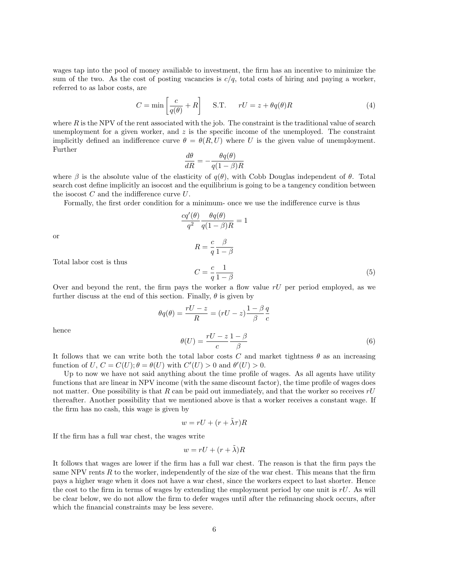wages tap into the pool of money availiable to investment, the firm has an incentive to minimize the sum of the two. As the cost of posting vacancies is  $c/q$ , total costs of hiring and paying a worker, referred to as labor costs, are

$$
C = \min\left[\frac{c}{q(\theta)} + R\right] \quad \text{S.T.} \quad rU = z + \theta q(\theta)R \tag{4}
$$

where  $R$  is the NPV of the rent associated with the job. The constraint is the traditional value of search unemployment for a given worker, and  $z$  is the specific income of the unemployed. The constraint implicitly defined an indifference curve  $\theta = \theta(R, U)$  where U is the given value of unemployment. Further

$$
\frac{d\theta}{dR} = -\frac{\theta q(\theta)}{q(1-\beta)R}
$$

where  $\beta$  is the absolute value of the elasticity of  $q(\theta)$ , with Cobb Douglas independent of  $\theta$ . Total search cost define implicitly an isocost and the equilibrium is going to be a tangency condition between the isocost  $C$  and the indifference curve  $U$ .

Formally, the first order condition for a minimum- once we use the indifference curve is thus

$$
\frac{cq'(\theta)}{q^2} \frac{\theta q(\theta)}{q(1-\beta)R} = 1
$$
  

$$
R = \frac{c}{q} \frac{\beta}{1-\beta}
$$
  

$$
C = \frac{c}{q} \frac{1}{1-\beta}
$$
 (5)

or

Total labor cost is thus

Over and beyond the rent, the firm pays the worker a flow value  $rU$  per period employed, as we further discuss at the end of this section. Finally,  $\theta$  is given by

$$
\theta q(\theta) = \frac{rU - z}{R} = (rU - z)\frac{1 - \beta}{\beta} \frac{q}{c}
$$

$$
\theta(U) = \frac{rU - z}{c} \frac{1 - \beta}{\beta}
$$
(6)

hence

It follows that we can write both the total labor costs C and market tightness  $\theta$  as an increasing function of U,  $C = C(U); \theta = \theta(U)$  with  $C'(U) > 0$  and  $\theta'(U) > 0$ .

Up to now we have not said anything about the time profile of wages. As all agents have utility functions that are linear in NPV income (with the same discount factor), the time profile of wages does not matter. One possibility is that R can be paid out immediately, and that the worker so receives  $rU$ thereafter. Another possibility that we mentioned above is that a worker receives a constant wage. If the firm has no cash, this wage is given by

$$
w = rU + (r + \tilde{\lambda}\tau)R
$$

If the firm has a full war chest, the wages write

$$
w = rU + (r + \tilde{\lambda})R
$$

It follows that wages are lower if the firm has a full war chest. The reason is that the firm pays the same NPV rents  $R$  to the worker, independently of the size of the war chest. This means that the firm pays a higher wage when it does not have a war chest, since the workers expect to last shorter. Hence the cost to the firm in terms of wages by extending the employment period by one unit is  $rU$ . As will be clear below, we do not allow the firm to defer wages until after the refinancing shock occurs, after which the financial constraints may be less severe.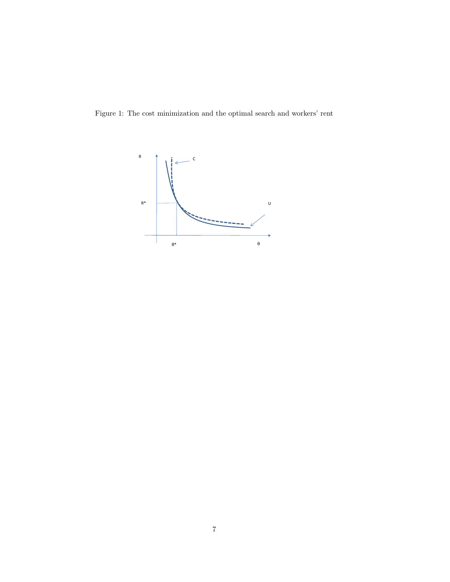Figure 1: The cost minimization and the optimal search and workers' rent

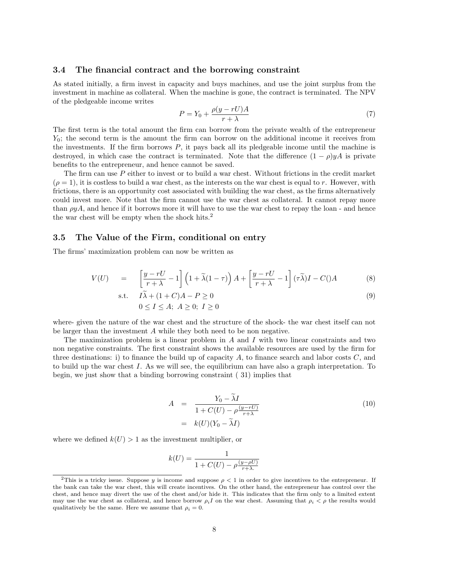#### 3.4 The financial contract and the borrowing constraint

As stated initially, a firm invest in capacity and buys machines, and use the joint surplus from the investment in machine as collateral. When the machine is gone, the contract is terminated. The NPV of the pledgeable income writes

$$
P = Y_0 + \frac{\rho(y - rU)A}{r + \lambda} \tag{7}
$$

The first term is the total amount the firm can borrow from the private wealth of the entrepreneur  $Y_0$ ; the second term is the amount the firm can borrow on the additional income it receives from the investments. If the firm borrows  $P$ , it pays back all its pledgeable income until the machine is destroyed, in which case the contract is terminated. Note that the difference  $(1 - \rho)yA$  is private benefits to the entrepreneur, and hence cannot be saved.

The firm can use P either to invest or to build a war chest. Without frictions in the credit market  $(\rho = 1)$ , it is costless to build a war chest, as the interests on the war chest is equal to r. However, with frictions, there is an opportunity cost associated with building the war chest, as the firms alternatively could invest more. Note that the firm cannot use the war chest as collateral. It cannot repay more than  $\rho y A$ , and hence if it borrows more it will have to use the war chest to repay the loan - and hence the war chest will be empty when the shock hits.<sup>2</sup>

#### 3.5 The Value of the Firm, conditional on entry

The firms' maximization problem can now be written as

$$
V(U) = \left[ \frac{y - rU}{r + \lambda} - 1 \right] \left( 1 + \tilde{\lambda} (1 - \tau) \right) A + \left[ \frac{y - rU}{r + \lambda} - 1 \right] (\tau \tilde{\lambda}) I - C(\lambda)
$$
 (8)

$$
\begin{aligned}\n\text{s.t.} \quad & I\widetilde{\lambda} + (1+C)A - P \ge 0 \\
& 0 \le I \le A; \ A \ge 0; \ I \ge 0\n\end{aligned} \tag{9}
$$

where- given the nature of the war chest and the structure of the shock- the war chest itself can not be larger than the investment A while they both need to be non negative.

The maximization problem is a linear problem in  $A$  and  $I$  with two linear constraints and two non negative constraints. The first constraint shows the available resources are used by the firm for three destinations: i) to finance the build up of capacity  $A$ , to finance search and labor costs  $C$ , and to build up the war chest I. As we will see, the equilibrium can have also a graph interpretation. To begin, we just show that a binding borrowing constraint ( 31) implies that

$$
A = \frac{Y_0 - \tilde{\lambda}I}{1 + C(U) - \rho \frac{(y - rU)}{r + \lambda}}
$$
  
=  $k(U)(Y_0 - \tilde{\lambda}I)$  (10)

where we defined  $k(U) > 1$  as the investment multiplier, or

$$
k(U) = \frac{1}{1 + C(U) - \rho \frac{(y - \rho U)}{r + \lambda}}
$$

<sup>&</sup>lt;sup>2</sup>This is a tricky issue. Suppose y is income and suppose  $\rho < 1$  in order to give incentives to the entrepreneur. If the bank can take the war chest, this will create incentives. On the other hand, the entrepreneur has control over the chest, and hence may divert the use of the chest and/or hide it. This indicates that the firm only to a limited extent may use the war chest as collateral, and hence borrow  $\rho_i I$  on the war chest. Assuming that  $\rho_i < \rho$  the results would qualitatively be the same. Here we assume that  $\rho_i = 0$ .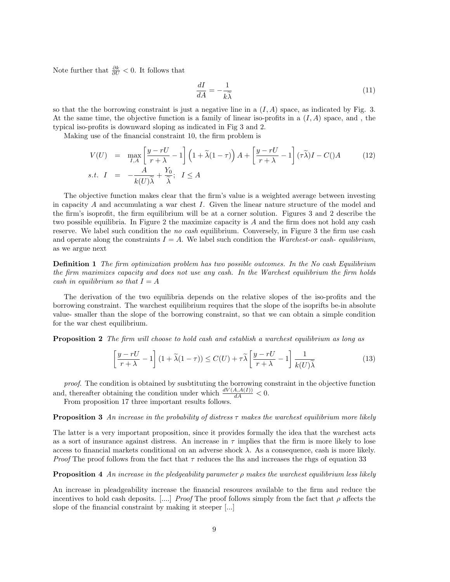Note further that  $\frac{\partial k}{\partial U} < 0$ . It follows that

$$
\frac{dI}{dA} = -\frac{1}{k\tilde{\lambda}}\tag{11}
$$

so that the the borrowing constraint is just a negative line in a  $(I, A)$  space, as indicated by Fig. 3. At the same time, the objective function is a family of linear iso-profits in a  $(I, A)$  space, and, the typical iso-profits is downward sloping as indicated in Fig 3 and 2.

Making use of the financial constraint 10, the firm problem is

$$
V(U) = \max_{I,A} \left[ \frac{y - rU}{r + \lambda} - 1 \right] \left( 1 + \tilde{\lambda} (1 - \tau) \right) A + \left[ \frac{y - rU}{r + \lambda} - 1 \right] (\tau \tilde{\lambda}) I - C(\lambda)
$$
(12)  
s.t.  $I = -\frac{A}{k(U)\tilde{\lambda}} + \frac{Y_0}{\tilde{\lambda}}; \quad I \le A$ 

The objective function makes clear that the firm's value is a weighted average between investing in capacity  $A$  and accumulating a war chest  $I$ . Given the linear nature structure of the model and the firm's isoprofit, the firm equilibrium will be at a corner solution. Figures 3 and 2 describe the two possible equilibria. In Figure 2 the maximize capacity is A and the firm does not hold any cash reserve. We label such condition the no cash equilibrium. Conversely, in Figure 3 the firm use cash and operate along the constraints  $I = A$ . We label such condition the Warchest-or cash-equilibrium, as we argue next

Definition 1 The firm optimization problem has two possible outcomes. In the No cash Equilibrium the firm maximizes capacity and does not use any cash. In the Warchest equilibrium the firm holds cash in equilibrium so that  $I = A$ 

The derivation of the two equilibria depends on the relative slopes of the iso-profits and the borrowing constraint. The warchest equilibrium requires that the slope of the isoprifts be-in absolute value- smaller than the slope of the borrowing constraint, so that we can obtain a simple condition for the war chest equilibrium.

**Proposition 2** The firm will choose to hold cash and establish a warchest equilibrium as long as

$$
\left[\frac{y-rU}{r+\lambda} - 1\right](1+\widetilde{\lambda}(1-\tau)) \le C(U) + \tau \widetilde{\lambda}\left[\frac{y-rU}{r+\lambda} - 1\right] \frac{1}{k(U)\widetilde{\lambda}}
$$
(13)

proof. The condition is obtained by susbtituting the borrowing constraint in the objective function and, thereafter obtaining the condition under which  $\frac{dV(A,A(I))}{dA} < 0$ .

From proposition 17 three important results follows.

#### **Proposition 3** An increase in the probability of distress  $\tau$  makes the warchest equilibrium more likely

The latter is a very important proposition, since it provides formally the idea that the warchest acts as a sort of insurance against distress. An increase in  $\tau$  implies that the firm is more likely to lose access to financial markets conditional on an adverse shock  $\lambda$ . As a consequence, cash is more likely. *Proof* The proof follows from the fact that  $\tau$  reduces the lhs and increases the rhgs of equation 33

#### **Proposition 4** An increase in the pledgeability parameter  $\rho$  makes the warchest equilibrium less likely

An increase in pleadgeability increase the financial resources available to the firm and reduce the incentives to hold cash deposits. [....] Proof The proof follows simply from the fact that  $\rho$  affects the slope of the financial constraint by making it steeper [...]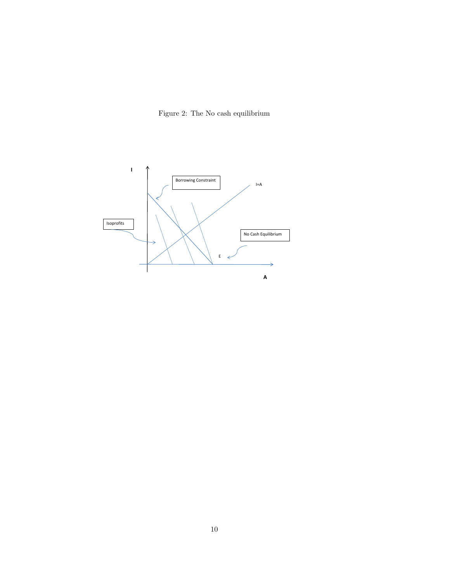

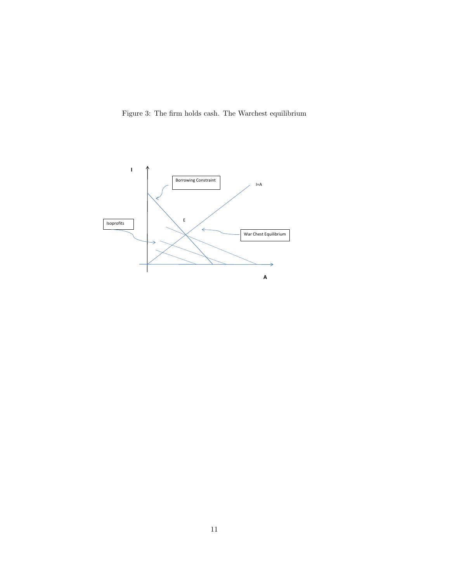Figure 3: The firm holds cash. The Warchest equilibrium

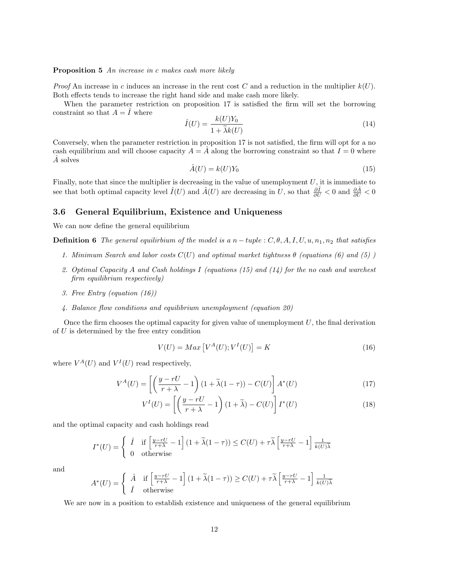#### Proposition 5 An increase in c makes cash more likely

*Proof* An increase in c induces an increase in the rent cost C and a reduction in the multiplier  $k(U)$ . Both effects tends to increase the right hand side and make cash more likely.

When the parameter restriction on proposition 17 is satisfied the firm will set the borrowing constraint so that  $A = \hat{I}$  where

$$
\hat{I}(U) = \frac{k(U)Y_0}{1 + \tilde{\lambda}k(U)}\tag{14}
$$

Conversely, when the parameter restriction in proposition 17 is not satisfied, the firm will opt for a no cash equilibrium and will choose capacity  $A = A$  along the borrowing constraint so that  $I = 0$  where A solves

$$
\hat{A}(U) = k(U)Y_0\tag{15}
$$

Finally, note that since the multiplier is decreasing in the value of unemployment  $U$ , it is immediate to see that both optimal capacity level  $\hat{I}(U)$  and  $\hat{A}(U)$  are decreasing in U, so that  $\frac{\partial \hat{I}}{\partial U} < 0$  and  $\frac{\partial \hat{A}}{\partial U} < 0$ 

#### 3.6 General Equilibrium, Existence and Uniqueness

We can now define the general equilibrium

**Definition 6** The general equiliribium of the model is a n – tuple :  $C, \theta, A, I, U, u, n_1, n_2$  that satisfies

- 1. Minimum Search and labor costs  $C(U)$  and optimal market tightness  $\theta$  (equations (6) and (5))
- 2. Optimal Capacity A and Cash holdings I (equations  $(15)$  and  $(14)$  for the no cash and warchest firm equilibrium respectively)
- 3. Free Entry (equation (16))
- 4. Balance flow conditions and equilibrium unemployment (equation 20)

Once the firm chooses the optimal capacity for given value of unemployment  $U$ , the final derivation of  $U$  is determined by the free entry condition

$$
V(U) = Max \left[ V^{A}(U); V^{I}(U) \right] = K \tag{16}
$$

where  $V^A(U)$  and  $V^I(U)$  read respectively,

$$
V^{A}(U) = \left[ \left( \frac{y - rU}{r + \lambda} - 1 \right) (1 + \tilde{\lambda}(1 - \tau)) - C(U) \right] A^{*}(U)
$$
\n(17)

$$
V^{I}(U) = \left[ \left( \frac{y - rU}{r + \lambda} - 1 \right) (1 + \tilde{\lambda}) - C(U) \right] I^{*}(U)
$$
\n(18)

and the optimal capacity and cash holdings read

$$
I^*(U) = \begin{cases} \hat{I} & \text{if } \left[ \frac{y - rU}{r + \lambda} - 1 \right] \left( 1 + \tilde{\lambda} (1 - \tau) \right) \le C(U) + \tau \tilde{\lambda} \left[ \frac{y - rU}{r + \lambda} - 1 \right] \frac{1}{k(U)\tilde{\lambda}} \\ 0 & \text{otherwise} \end{cases}
$$

and

$$
A^*(U) = \begin{cases} \hat{A} & \text{if } \left[ \frac{y - rU}{r + \lambda} - 1 \right] \left( 1 + \tilde{\lambda} (1 - \tau) \right) \ge C(U) + \tau \tilde{\lambda} \left[ \frac{y - rU}{r + \lambda} - 1 \right] \frac{1}{k(U) \tilde{\lambda}} \\ \hat{I} & \text{otherwise} \end{cases}
$$

We are now in a position to establish existence and uniqueness of the general equilibrium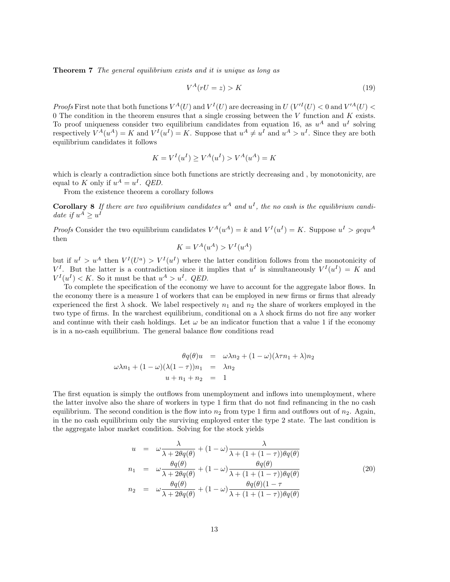Theorem 7 The general equilibrium exists and it is unique as long as

$$
V^A(rU = z) > K \tag{19}
$$

*Proofs* First note that both functions  $V^A(U)$  and  $V^I(U)$  are decreasing in  $U(V^I(U) < 0$  and  $V'^A(U) < 0$ 0 The condition in the theorem ensures that a single crossing between the  $V$  function and  $K$  exists. To proof uniqueness consider two equilibrium candidates from equation 16, as  $u^A$  and  $u^I$  solving respectively  $V^A(u^A) = K$  and  $V^I(u^I) = K$ . Suppose that  $u^A \neq u^I$  and  $u^A > u^I$ . Since they are both equilibrium candidates it follows

$$
K = V^{I}(u^{I}) \ge V^{A}(u^{I}) > V^{A}(u^{A}) = K
$$

which is clearly a contradiction since both functions are strictly decreasing and, by monotonicity, are equal to K only if  $u^A = u^I$ . *QED*.

From the existence theorem a corollary follows

**Corollary 8** If there are two equilibrium candidates  $u^A$  and  $u^I$ , the no cash is the equilibrium candidate if  $u^A \geq u^I$ 

*Proofs* Consider the two equilibrium candidates  $V^A(u^A) = k$  and  $V^I(u^I) = K$ . Suppose  $u^I > g e q u^A$ then

$$
K = V^A(u^A) > V^I(u^A)
$$

but if  $u^I > u^A$  then  $V^I(U^a) > V^I(u^I)$  where the latter condition follows from the monotonicity of  $V^I$ . But the latter is a contradiction since it implies that  $u^I$  is simultaneously  $V^I(u^I) = K$  and  $V^I(u^I) < K$ . So it must be that  $u^A > u^I$ . *QED*.

To complete the specification of the economy we have to account for the aggregate labor flows. In the economy there is a measure 1 of workers that can be employed in new firms or firms that already experienced the first  $\lambda$  shock. We label respectively  $n_1$  and  $n_2$  the share of workers employed in the two type of firms. In the warchest equilibrium, conditional on a  $\lambda$  shock firms do not fire any worker and continue with their cash holdings. Let  $\omega$  be an indicator function that a value 1 if the economy is in a no-cash equilibrium. The general balance flow conditions read

$$
\theta q(\theta)u = \omega \lambda n_2 + (1 - \omega)(\lambda \tau n_1 + \lambda)n_2
$$
  

$$
\omega \lambda n_1 + (1 - \omega)(\lambda (1 - \tau))n_1 = \lambda n_2
$$
  

$$
u + n_1 + n_2 = 1
$$

The first equation is simply the outflows from unemployment and inflows into unemployment, where the latter involve also the share of workers in type 1 firm that do not find refinancing in the no cash equilibrium. The second condition is the flow into  $n_2$  from type 1 firm and outflows out of  $n_2$ . Again, in the no cash equilibrium only the surviving employed enter the type 2 state. The last condition is the aggregate labor market condition. Solving for the stock yields

$$
u = \omega \frac{\lambda}{\lambda + 2\theta q(\theta)} + (1 - \omega) \frac{\lambda}{\lambda + (1 + (1 - \tau))\theta q(\theta)}
$$
  
\n
$$
n_1 = \omega \frac{\theta q(\theta)}{\lambda + 2\theta q(\theta)} + (1 - \omega) \frac{\theta q(\theta)}{\lambda + (1 + (1 - \tau))\theta q(\theta)}
$$
  
\n
$$
n_2 = \omega \frac{\theta q(\theta)}{\lambda + 2\theta q(\theta)} + (1 - \omega) \frac{\theta q(\theta)(1 - \tau)}{\lambda + (1 + (1 - \tau))\theta q(\theta)}
$$
\n(20)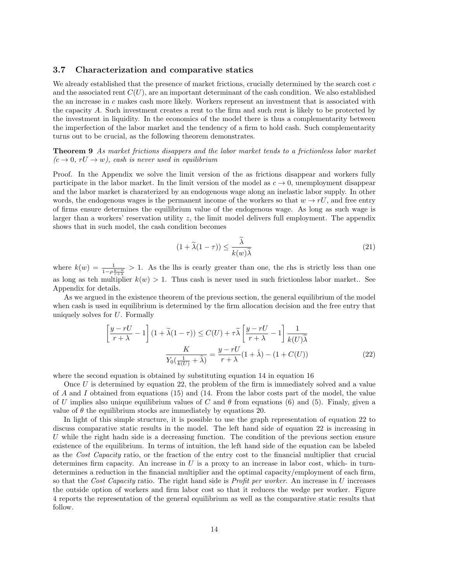#### 3.7 Characterization and comparative statics

We already established that the presence of market frictions, crucially determined by the search cost  $c$ and the associated rent  $C(U)$ , are an important determinant of the cash condition. We also established the an increase in c makes cash more likely. Workers represent an investment that is associated with the capacity A. Such investment creates a rent to the firm and such rent is likely to be protected by the investment in liquidity. In the economics of the model there is thus a complementarity between the imperfection of the labor market and the tendency of a firm to hold cash. Such complementarity turns out to be crucial, as the following theorem demonstrates.

Theorem 9 As market frictions disappers and the labor market tends to a frictionless labor market  $(c \rightarrow 0, rU \rightarrow w)$ , cash is never used in equilibrium

Proof. In the Appendix we solve the limit version of the as frictions disappear and workers fully participate in the labor market. In the limit version of the model as  $c \to 0$ , unemployment disappear and the labor market is charaterized by an endogenous wage along an inelastic labor supply. In other words, the endogenous wages is the permanent income of the workers so that  $w \to rU$ , and free entry of firms ensure determines the equilibrium value of the endogenous wage. As long as such wage is larger than a workers' reservation utility z, the limit model delivers full employment. The appendix shows that in such model, the cash condition becomes

$$
(1 + \tilde{\lambda}(1 - \tau)) \le \frac{\tilde{\lambda}}{k(w)\tilde{\lambda}}
$$
\n(21)

where  $k(w) = \frac{1}{1-\rho\frac{y-w}{r+\lambda}} > 1$ . As the lhs is cearly greater than one, the rhs is strictly less than one as long as teh multiplier  $k(w) > 1$ . Thus cash is never used in such frictionless labor market.. See Appendix for details.

As we argued in the existence theorem of the previous section, the general equilibrium of the model when cash is used in equilibrium is determined by the firm allocation decision and the free entry that uniquely solves for  $U$ . Formally

$$
\left[\frac{y-rU}{r+\lambda} - 1\right](1+\tilde{\lambda}(1-\tau)) \leq C(U) + \tau \tilde{\lambda} \left[\frac{y-rU}{r+\lambda} - 1\right] \frac{1}{k(U)\tilde{\lambda}}
$$

$$
\frac{K}{Y_0(\frac{1}{k(U)} + \tilde{\lambda})} = \frac{y-rU}{r+\lambda}(1+\tilde{\lambda}) - (1+C(U))
$$
(22)

where the second equation is obtained by substituting equation 14 in equation 16

Once U is determined by equation 22, the problem of the firm is immediately solved and a value of A and I obtained from equations  $(15)$  and  $(14.$  From the labor costs part of the model, the value of U implies also unique equilibrium values of C and  $\theta$  from equations (6) and (5). Finaly, given a value of  $\theta$  the equilibrium stocks are immediately by equations 20.

In light of this simple structure, it is possible to use the graph representation of equation 22 to discuss comparative static results in the model. The left hand side of equation 22 is increasing in U while the right hadn side is a decreasing function. The condition of the previous section ensure existence of the equilibrium. In terms of intuition, the left hand side of the equation can be labeled as the Cost Capacity ratio, or the fraction of the entry cost to the financial multiplier that crucial determines firm capacity. An increase in  $U$  is a proxy to an increase in labor cost, which- in turndetermines a reduction in the financial multiplier and the optimal capacity/employment of each firm, so that the Cost Capacity ratio. The right hand side is *Profit per worker*. An increase in  $U$  increases the outside option of workers and firm labor cost so that it reduces the wedge per worker. Figure 4 reports the representation of the general equilibrium as well as the comparative static results that follow.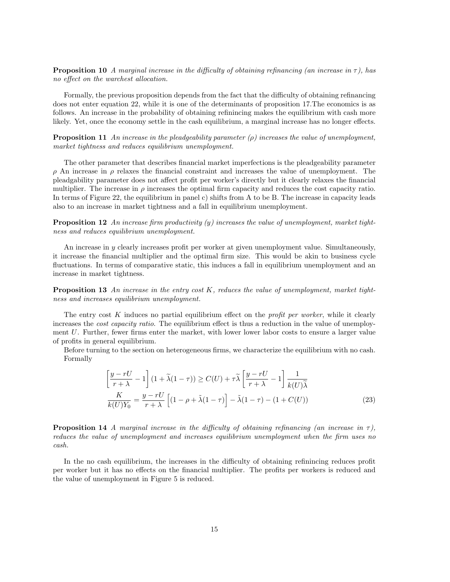**Proposition 10** A marginal increase in the difficulty of obtaining refinancing (an increase in  $\tau$ ), has no effect on the warchest allocation.

Formally, the previous proposition depends from the fact that the difficulty of obtaining refinancing does not enter equation 22, while it is one of the determinants of proposition 17.The economics is as follows. An increase in the probability of obtaining refinincing makes the equilibrium with cash more likely. Yet, once the economy settle in the cash equilibrium, a marginal increase has no longer effects.

**Proposition 11** An increase in the pleadgeability parameter  $(\rho)$  increases the value of unemployment, market tightness and reduces equilibrium unemployment.

The other parameter that describes financial market imperfections is the pleadgeability parameter ρ An increase in ρ relaxes the financial constraint and increases the value of unemployment. The pleadgability parameter does not affect profit per worker's directly but it clearly relaxes the financial multiplier. The increase in  $\rho$  increases the optimal firm capacity and reduces the cost capacity ratio. In terms of Figure 22, the equilibrium in panel c) shifts from A to be B. The increase in capacity leads also to an increase in market tightness and a fall in equilibrium unemployment.

**Proposition 12** An increase firm productivity  $(y)$  increases the value of unemployment, market tightness and reduces equilibrium unemployment.

An increase in  $\eta$  clearly increases profit per worker at given unemployment value. Simultaneously, it increase the financial multiplier and the optimal firm size. This would be akin to business cycle fluctuations. In terms of comparative static, this induces a fall in equilibrium unemployment and an increase in market tightness.

**Proposition 13** An increase in the entry cost K, reduces the value of unemployment, market tightness and increases equilibrium unemployment.

The entry cost  $K$  induces no partial equilibrium effect on the *profit per worker*, while it clearly increases the *cost capacity ratio*. The equilibrium effect is thus a reduction in the value of unemployment U. Further, fewer firms enter the market, with lower lower labor costs to ensure a larger value of profits in general equilibrium.

Before turning to the section on heterogeneous firms, we characterize the equilibrium with no cash. Formally

$$
\left[\frac{y-rU}{r+\lambda} - 1\right](1+\tilde{\lambda}(1-\tau)) \ge C(U) + \tau \tilde{\lambda} \left[\frac{y-rU}{r+\lambda} - 1\right] \frac{1}{k(U)\tilde{\lambda}}
$$

$$
\frac{K}{k(U)Y_0} = \frac{y-rU}{r+\lambda} \left[ (1-\rho+\tilde{\lambda}(1-\tau)) - \tilde{\lambda}(1-\tau) - (1+C(U)) \right]
$$
(23)

**Proposition 14** A marginal increase in the difficulty of obtaining refinancing (an increase in  $\tau$ ), reduces the value of unemployment and increases equilibrium unemployment when the firm uses no cash.

In the no cash equilibrium, the increases in the difficulty of obtaining refinincing reduces profit per worker but it has no effects on the financial multiplier. The profits per workers is reduced and the value of unemployment in Figure 5 is reduced.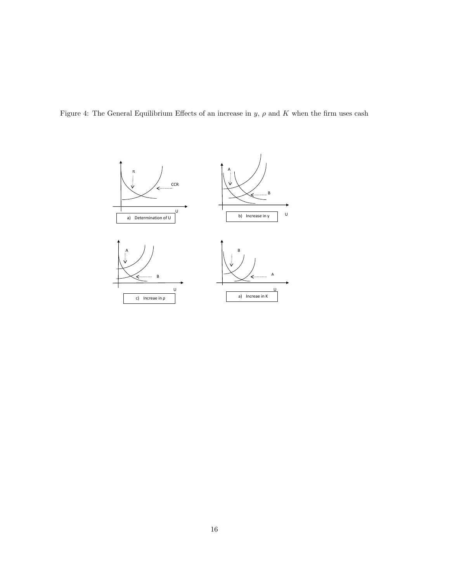Figure 4: The General Equilibrium Effects of an increase in  $y$ ,  $\rho$  and  $K$  when the firm uses cash

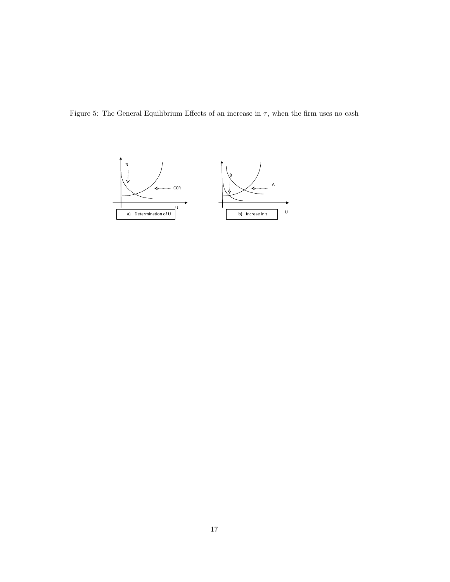Figure 5: The General Equilibrium Effects of an increase in  $\tau$ , when the firm uses no cash

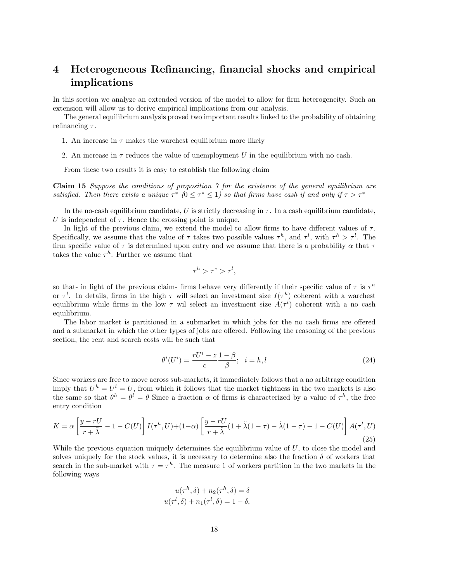# 4 Heterogeneous Refinancing, financial shocks and empirical implications

In this section we analyze an extended version of the model to allow for firm heterogeneity. Such an extension will allow us to derive empirical implications from our analysis.

The general equilibrium analysis proved two important results linked to the probability of obtaining refinancing  $\tau$ .

- 1. An increase in  $\tau$  makes the warchest equilibrium more likely
- 2. An increase in  $\tau$  reduces the value of unemployment U in the equilibrium with no cash.

From these two results it is easy to establish the following claim

Claim 15 Suppose the conditions of proposition 7 for the existence of the general equilibrium are satisfied. Then there exists a unique  $\tau^*$  ( $0 \leq \tau^* \leq 1$ ) so that firms have cash if and only if  $\tau > \tau^*$ 

In the no-cash equilibrium candidate, U is strictly decreasing in  $\tau$ . In a cash equilibrium candidate, U is independent of  $\tau$ . Hence the crossing point is unique.

In light of the previous claim, we extend the model to allow firms to have different values of  $\tau$ . Specifically, we assume that the value of  $\tau$  takes two possible values  $\tau^h$ , and  $\tau^l$ , with  $\tau^h > \tau^l$ . The firm specific value of  $\tau$  is determined upon entry and we assume that there is a probability  $\alpha$  that  $\tau$ takes the value  $\tau^h$ . Further we assume that

$$
\tau^h > \tau^* > \tau^l,
$$

so that- in light of the previous claim- firms behave very differently if their specific value of  $\tau$  is  $\tau^h$ or  $\tau^l$ . In details, firms in the high  $\tau$  will select an investment size  $I(\tau^h)$  coherent with a warchest equilibrium while firms in the low  $\tau$  wil select an investment size  $A(\tau^l)$  coherent with a no cash equilibrium.

The labor market is partitioned in a submarket in which jobs for the no cash firms are offered and a submarket in which the other types of jobs are offered. Following the reasoning of the previous section, the rent and search costs will be such that

$$
\theta^i(U^i) = \frac{rU^i - z}{c} \frac{1 - \beta}{\beta}; \quad i = h, l \tag{24}
$$

Since workers are free to move across sub-markets, it immediately follows that a no arbitrage condition imply that  $U^h = U^l = U$ , from which it follows that the market tightness in the two markets is also the same so that  $\theta^h = \theta^l = \theta$  Since a fraction  $\alpha$  of firms is characterized by a value of  $\tau^h$ , the free entry condition

$$
K = \alpha \left[ \frac{y - rU}{r + \tilde{\lambda}} - 1 - C(U) \right] I(\tau^h, U) + (1 - \alpha) \left[ \frac{y - rU}{r + \tilde{\lambda}} (1 + \tilde{\lambda}(1 - \tau) - \tilde{\lambda}(1 - \tau) - 1 - C(U) \right] A(\tau^l, U)
$$
\n(25)

While the previous equation uniquely determines the equilibrium value of  $U$ , to close the model and solves uniquely for the stock values, it is necessary to determine also the fraction  $\delta$  of workers that search in the sub-market with  $\tau = \tau^h$ . The measure 1 of workers partition in the two markets in the following ways

$$
u(\tau^h, \delta) + n_2(\tau^h, \delta) = \delta
$$
  

$$
u(\tau^l, \delta) + n_1(\tau^l, \delta) = 1 - \delta,
$$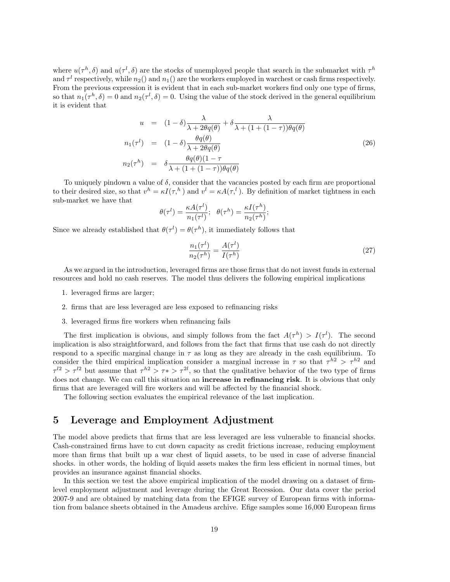where  $u(\tau^h, \delta)$  and  $u(\tau^l, \delta)$  are the stocks of unemployed people that search in the submarket with  $\tau^h$ and  $\tau^l$  respectively, while  $n_2()$  and  $n_1()$  are the workers employed in warchest or cash firms respectively. From the previous expression it is evident that in each sub-market workers find only one type of firms, so that  $n_1(\tau^h, \delta) = 0$  and  $n_2(\tau^l, \delta) = 0$ . Using the value of the stock derived in the general equilibrium it is evident that

$$
u = (1 - \delta) \frac{\lambda}{\lambda + 2\theta q(\theta)} + \delta \frac{\lambda}{\lambda + (1 + (1 - \tau))\theta q(\theta)}
$$
  
\n
$$
n_1(\tau^l) = (1 - \delta) \frac{\theta q(\theta)}{\lambda + 2\theta q(\theta)}
$$
  
\n
$$
n_2(\tau^h) = \delta \frac{\theta q(\theta)(1 - \tau)}{\lambda + (1 + (1 - \tau))\theta q(\theta)}
$$
\n(26)

To uniquely pindown a value of  $\delta$ , consider that the vacancies posted by each firm are proportional to their desired size, so that  $v^h = \kappa I(\tau^h)$  and  $v^l = \kappa A(\tau^l)$ . By definition of market tightness in each sub-market we have that

$$
\theta(\tau^l) = \frac{\kappa A(\tau^l)}{n_1(\tau^l)}; \quad \theta(\tau^h) = \frac{\kappa I(\tau^h)}{n_2(\tau^h)};
$$

Since we already established that  $\theta(\tau^l) = \theta(\tau^h)$ , it immediately follows that

$$
\frac{n_1(\tau^l)}{n_2(\tau^h)} = \frac{A(\tau^l)}{I(\tau^h)}\tag{27}
$$

As we argued in the introduction, leveraged firms are those firms that do not invest funds in external resources and hold no cash reserves. The model thus delivers the following empirical implications

- 1. leveraged firms are larger;
- 2. firms that are less leveraged are less exposed to refinancing risks
- 3. leveraged firms fire workers when refinancing fails

The first implication is obvious, and simply follows from the fact  $A(\tau^h) > I(\tau^l)$ . The second implication is also straightforward, and follows from the fact that firms that use cash do not directly respond to a specific marginal change in  $\tau$  as long as they are already in the cash equilibrium. To consider the third empirical implication consider a marginal increase in  $\tau$  so that  $\tau^{h2} > \tau^{h2}$  and  $\tau^{l2} > \tau^{l2}$  but assume that  $\tau^{h2} > \tau^* > \tau^{2l}$ , so that the qualitative behavior of the two type of firms does not change. We can call this situation an **increase in refinancing risk**. It is obvious that only firms that are leveraged will fire workers and will be affected by the financial shock.

The following section evaluates the empirical relevance of the last implication.

### 5 Leverage and Employment Adjustment

The model above predicts that firms that are less leveraged are less vulnerable to financial shocks. Cash-constrained firms have to cut down capacity as credit frictions increase, reducing employment more than firms that built up a war chest of liquid assets, to be used in case of adverse financial shocks. in other words, the holding of liquid assets makes the firm less efficient in normal times, but provides an insurance against financial shocks.

In this section we test the above empirical implication of the model drawing on a dataset of firmlevel employment adjustment and leverage during the Great Recession. Our data cover the period 2007-9 and are obtained by matching data from the EFIGE survey of European firms with information from balance sheets obtained in the Amadeus archive. Efige samples some 16,000 European firms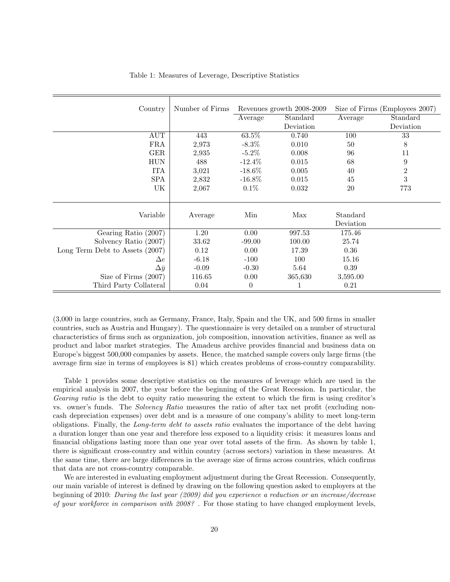| Country                         | Number of Firms |                | Revenues growth 2008-2009 |                       | Size of Firms (Employees 2007) |
|---------------------------------|-----------------|----------------|---------------------------|-----------------------|--------------------------------|
|                                 |                 | Average        | Standard                  | Average               | Standard                       |
|                                 |                 |                | Deviation                 |                       | Deviation                      |
| $\mathop{\rm AUT}\nolimits$     | 443             | 63.5%          | 0.740                     | 100                   | 33                             |
| FRA                             | 2,973           | $-8.3\%$       | 0.010                     | 50                    | 8                              |
| <b>GER</b>                      | 2,935           | $-5.2\%$       | 0.008                     | 96                    | 11                             |
| <b>HUN</b>                      | 488             | $-12.4\%$      | 0.015                     | 68                    | $\boldsymbol{9}$               |
| <b>ITA</b>                      | 3,021           | $-18.6\%$      | 0.005                     | 40                    | $\,2$                          |
| <b>SPA</b>                      | 2,832           | $-16.8\%$      | 0.015                     | 45                    | $\sqrt{3}$                     |
| UK                              | 2,067           | 0.1%           | 0.032                     | 20                    | 773                            |
|                                 |                 |                |                           |                       |                                |
| Variable                        | Average         | Min            | Max                       | Standard<br>Deviation |                                |
| Gearing Ratio (2007)            | 1.20            | 0.00           | 997.53                    | 175.46                |                                |
| Solvency Ratio (2007)           | 33.62           | $-99.00$       | 100.00                    | 25.74                 |                                |
| Long Term Debt to Assets (2007) | 0.12            | 0.00           | 17.39                     | 0.36                  |                                |
| $\Delta e$                      | $-6.18$         | $-100$         | 100                       | 15.16                 |                                |
| $\Delta \bar{y}$                | $-0.09$         | $-0.30$        | 5.64                      | $0.39\,$              |                                |
| Size of Firms $(2007)$          | 116.65          | 0.00           | 365,630                   | 3,595.00              |                                |
| Third Party Collateral          | 0.04            | $\overline{0}$ |                           | 0.21                  |                                |

Table 1: Measures of Leverage, Descriptive Statistics

(3,000 in large countries, such as Germany, France, Italy, Spain and the UK, and 500 firms in smaller countries, such as Austria and Hungary). The questionnaire is very detailed on a number of structural characteristics of firms such as organization, job composition, innovation activities, finance as well as product and labor market strategies. The Amadeus archive provides financial and business data on Europe's biggest 500,000 companies by assets. Hence, the matched sample covers only large firms (the average firm size in terms of employees is 81) which creates problems of cross-country comparability.

Table 1 provides some descriptive statistics on the measures of leverage which are used in the empirical analysis in 2007, the year before the beginning of the Great Recession. In particular, the Gearing ratio is the debt to equity ratio measuring the extent to which the firm is using creditor's vs. owner's funds. The Solvency Ratio measures the ratio of after tax net profit (excluding noncash depreciation expenses) over debt and is a measure of one company's ability to meet long-term obligations. Finally, the Long-term debt to assets ratio evaluates the importance of the debt having a duration longer than one year and therefore less exposed to a liquidity crisis: it measures loans and financial obligations lasting more than one year over total assets of the firm. As shown by table 1, there is significant cross-country and within country (across sectors) variation in these measures. At the same time, there are large differences in the average size of firms across countries, which confirms that data are not cross-country comparable.

We are interested in evaluating employment adjustment during the Great Recession. Consequently, our main variable of interest is defined by drawing on the following question asked to employers at the beginning of 2010: During the last year (2009) did you experience a reduction or an increase/decrease of your workforce in comparison with 2008? . For those stating to have changed employment levels,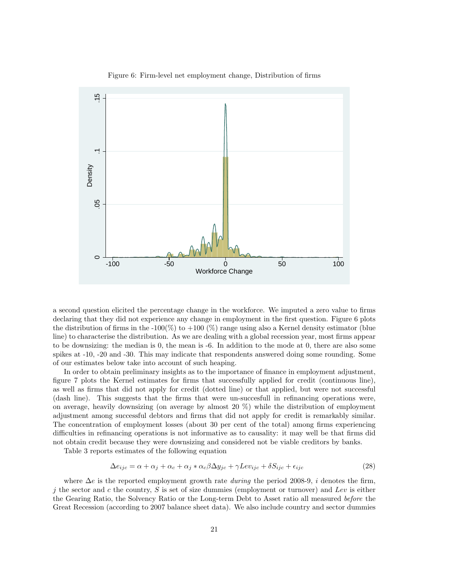

Figure 6: Firm-level net employment change, Distribution of firms

a second question elicited the percentage change in the workforce. We imputed a zero value to firms declaring that they did not experience any change in employment in the first question. Figure 6 plots the distribution of firms in the -100(%) to +100 (%) range using also a Kernel density estimator (blue line) to characterise the distribution. As we are dealing with a global recession year, most firms appear to be downsizing: the median is 0, the mean is -6. In addition to the mode at 0, there are also some spikes at -10, -20 and -30. This may indicate that respondents answered doing some rounding. Some of our estimates below take into account of such heaping.

In order to obtain preliminary insights as to the importance of finance in employment adjustment, figure 7 plots the Kernel estimates for firms that successfully applied for credit (continuous line), as well as firms that did not apply for credit (dotted line) or that applied, but were not successful (dash line). This suggests that the firms that were un-succesfull in refinancing operations were, on average, heavily downsizing (on average by almost 20 %) while the distribution of employment adjustment among successful debtors and firms that did not apply for credit is remarkably similar. The concentration of employment losses (about 30 per cent of the total) among firms experiencing difficulties in refinancing operations is not informative as to causality: it may well be that firms did not obtain credit because they were downsizing and considered not be viable creditors by banks.

Table 3 reports estimates of the following equation

$$
\Delta e_{ijc} = \alpha + \alpha_j + \alpha_c + \alpha_j * \alpha_c \beta \Delta y_{jc} + \gamma L ev_{ijc} + \delta S_{ijc} + \epsilon_{ijc}
$$
\n
$$
(28)
$$

where  $\Delta e$  is the reported employment growth rate *during* the period 2008-9, i denotes the firm, if the sector and c the country, S is set of size dummies (employment or turnover) and Lev is either the Gearing Ratio, the Solvency Ratio or the Long-term Debt to Asset ratio all measured before the Great Recession (according to 2007 balance sheet data). We also include country and sector dummies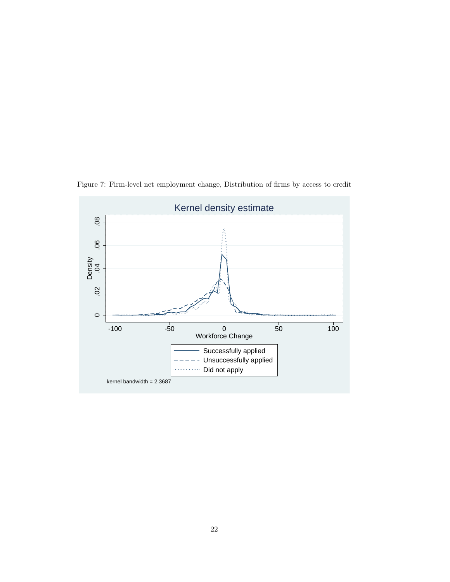

Figure 7: Firm-level net employment change, Distribution of firms by access to credit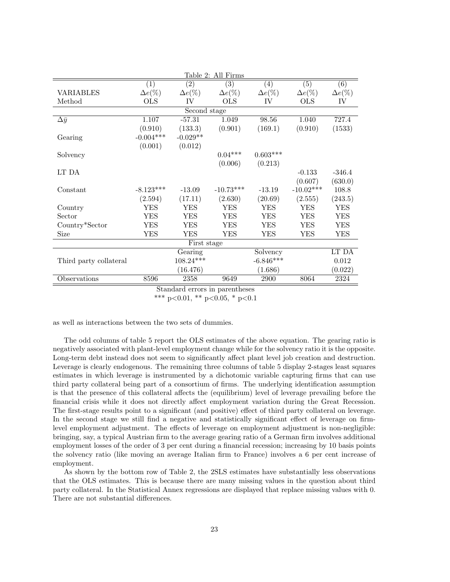|                        |                |                | Table 2: All Firms             |                |                |                  |
|------------------------|----------------|----------------|--------------------------------|----------------|----------------|------------------|
|                        | (1)            | (2)            | (3)                            | (4)            | (5)            | $\overline{(6)}$ |
| VARIABLES              | $\Delta e(\%)$ | $\Delta e(\%)$ | $\Delta e(\%)$                 | $\Delta e(\%)$ | $\Delta e(\%)$ | $\Delta e(\%)$   |
| Method                 | <b>OLS</b>     | IV             | <b>OLS</b>                     | IV             | <b>OLS</b>     | IV               |
|                        |                | Second stage   |                                |                |                |                  |
| $\Delta \bar{y}$       | 1.107          | $-57.31$       | 1.049                          | 98.56          | 1.040          | 727.4            |
|                        | (0.910)        | (133.3)        | (0.901)                        | (169.1)        | (0.910)        | (1533)           |
| Gearing                | $-0.004***$    | $-0.029**$     |                                |                |                |                  |
|                        | (0.001)        | (0.012)        |                                |                |                |                  |
| Solvency               |                |                | $0.04***$                      | $0.603***$     |                |                  |
|                        |                |                | (0.006)                        | (0.213)        |                |                  |
| LT DA                  |                |                |                                |                | $-0.133$       | $-346.4$         |
|                        |                |                |                                |                | (0.607)        | (630.0)          |
| Constant               | $-8.123***$    | $-13.09$       | $-10.73***$                    | $-13.19$       | $-10.02***$    | 108.8            |
|                        | (2.594)        | (17.11)        | (2.630)                        | (20.69)        | (2.555)        | (243.5)          |
| Country                | <b>YES</b>     | <b>YES</b>     | <b>YES</b>                     | <b>YES</b>     | <b>YES</b>     | <b>YES</b>       |
| Sector                 | <b>YES</b>     | <b>YES</b>     | <b>YES</b>                     | <b>YES</b>     | <b>YES</b>     | <b>YES</b>       |
| Country*Sector         | <b>YES</b>     | YES            | <b>YES</b>                     | YES            | <b>YES</b>     | YES              |
| Size                   | <b>YES</b>     | YES            | <b>YES</b>                     | YES            | <b>YES</b>     | YES              |
|                        |                | First stage    |                                |                |                |                  |
|                        |                | Gearing        |                                | Solvency       |                | LT DA            |
| Third party collateral |                | $108.24***$    |                                | $-6.846***$    |                | 0.012            |
|                        |                | (16.476)       |                                | (1.686)        |                | (0.022)          |
| Observations           | 8596           | 2358           | 9649                           | 2900           | 8064           | 2324             |
|                        |                |                | Standard errors in parentheses |                |                |                  |

\*\*\* p<0.01, \*\* p<0.05, \* p<0.1

as well as interactions between the two sets of dummies.

The odd columns of table 5 report the OLS estimates of the above equation. The gearing ratio is negatively associated with plant-level employment change while for the solvency ratio it is the opposite. Long-term debt instead does not seem to significantly affect plant level job creation and destruction. Leverage is clearly endogenous. The remaining three columns of table 5 display 2-stages least squares estimates in which leverage is instrumented by a dichotomic variable capturing firms that can use third party collateral being part of a consortium of firms. The underlying identification assumption is that the presence of this collateral affects the (equilibrium) level of leverage prevailing before the financial crisis while it does not directly affect employment variation during the Great Recession. The first-stage results point to a significant (and positive) effect of third party collateral on leverage. In the second stage we still find a negative and statistically significant effect of leverage on firmlevel employment adjustment. The effects of leverage on employment adjustment is non-negligible: bringing, say, a typical Austrian firm to the average gearing ratio of a German firm involves additional employment losses of the order of 3 per cent during a financial recession; increasing by 10 basis points the solvency ratio (like moving an average Italian firm to France) involves a 6 per cent increase of employment.

As shown by the bottom row of Table 2, the 2SLS estimates have substantially less observations that the OLS estimates. This is because there are many missing values in the question about third party collateral. In the Statistical Annex regressions are displayed that replace missing values with 0. There are not substantial differences.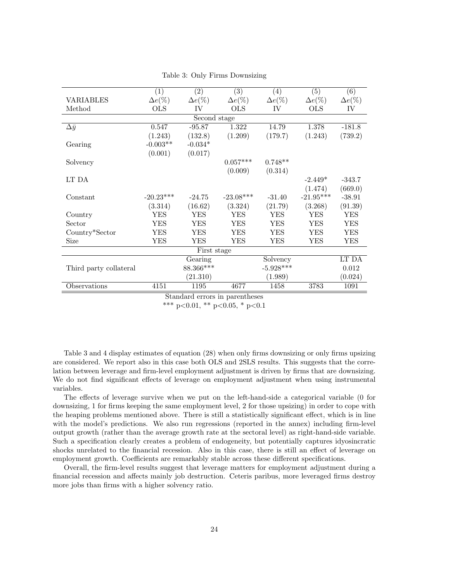|                        | (1)            | (2)            | (3)            | (4)            | (5)            | (6)            |
|------------------------|----------------|----------------|----------------|----------------|----------------|----------------|
| <b>VARIABLES</b>       | $\Delta e(\%)$ | $\Delta e(\%)$ | $\Delta e(\%)$ | $\Delta e(\%)$ | $\Delta e(\%)$ | $\Delta e(\%)$ |
| Method                 | <b>OLS</b>     | IV             | <b>OLS</b>     | IV             | <b>OLS</b>     | IV             |
|                        |                | Second stage   |                |                |                |                |
| $\Delta \bar{y}$       | 0.547          | $-95.87$       | 1.322          | 14.79          | 1.378          | $-181.8$       |
|                        | (1.243)        | (132.8)        | (1.209)        | (179.7)        | (1.243)        | (739.2)        |
| Gearing                | $-0.003**$     | $-0.034*$      |                |                |                |                |
|                        | (0.001)        | (0.017)        |                |                |                |                |
| Solvency               |                |                | $0.057***$     | $0.748**$      |                |                |
|                        |                |                | (0.009)        | (0.314)        |                |                |
| LT DA                  |                |                |                |                | $-2.449*$      | $-343.7$       |
|                        |                |                |                |                | (1.474)        | (669.0)        |
| Constant               | $-20.23***$    | $-24.75$       | $-23.08***$    | $-31.40$       | $-21.95***$    | $-38.91$       |
|                        | (3.314)        | (16.62)        | (3.324)        | (21.79)        | (3.268)        | (91.39)        |
| Country                | YES            | YES            | YES            | YES            | YES            | YES            |
| Sector                 | YES            | YES            | YES            | YES            | YES            | YES            |
| Country*Sector         | YES            | YES            | YES            | YES            | YES            | YES            |
| <b>Size</b>            | <b>YES</b>     | YES            | YES            | YES            | YES            | YES            |
|                        |                | First stage    |                |                |                |                |
|                        |                | Gearing        |                | Solvency       |                | LT DA          |
| Third party collateral |                | 88.366***      |                | $-5.928***$    |                | 0.012          |
|                        |                | (21.310)       |                | (1.989)        |                | (0.024)        |
| Observations           | 4151           | 1195           | 4677           | 1458           | 3783           | 1091           |

Table 3: Only Firms Downsizing

\*\*\* p<0.01, \*\* p<0.05, \* p<0.1

Table 3 and 4 display estimates of equation (28) when only firms downsizing or only firms upsizing are considered. We report also in this case both OLS and 2SLS results. This suggests that the correlation between leverage and firm-level employment adjustment is driven by firms that are downsizing. We do not find significant effects of leverage on employment adjustment when using instrumental variables.

The effects of leverage survive when we put on the left-hand-side a categorical variable (0 for downsizing, 1 for firms keeping the same employment level, 2 for those upsizing) in order to cope with the heaping problems mentioned above. There is still a statistically significant effect, which is in line with the model's predictions. We also run regressions (reported in the annex) including firm-level output growth (rather than the average growth rate at the sectoral level) as right-hand-side variable. Such a specification clearly creates a problem of endogeneity, but potentially captures idyosincratic shocks unrelated to the financial recession. Also in this case, there is still an effect of leverage on employment growth. Coefficients are remarkably stable across these different specifications.

Overall, the firm-level results suggest that leverage matters for employment adjustment during a financial recession and affects mainly job destruction. Ceteris paribus, more leveraged firms destroy more jobs than firms with a higher solvency ratio.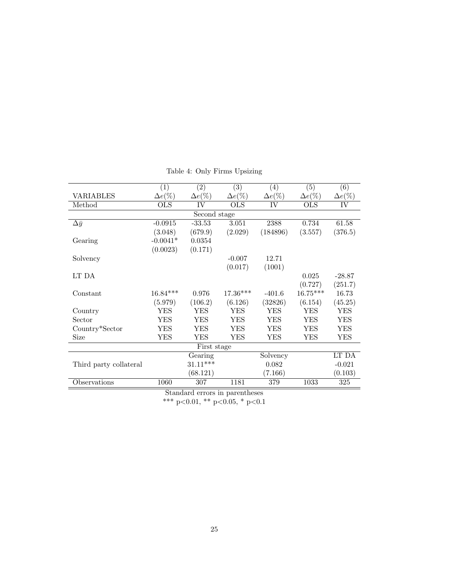|                        | (1)                       | $\left( 2\right)$ | (3)                            | (4)            | (5)            | (6)            |
|------------------------|---------------------------|-------------------|--------------------------------|----------------|----------------|----------------|
| <b>VARIABLES</b>       | $\Delta e(\%)$            | $\Delta e(\%)$    | $\Delta e(\%)$                 | $\Delta e(\%)$ | $\Delta e(\%)$ | $\Delta e(\%)$ |
| Method                 | $\overline{\mathrm{OLS}}$ | IV                | $\overline{\mathrm{OLS}}$      | IV             | OLS            | IV             |
|                        |                           | Second stage      |                                |                |                |                |
| $\Delta \bar{y}$       | $-0.0915$                 | $-33.53$          | 3.051                          | 2388           | 0.734          | 61.58          |
|                        | (3.048)                   | (679.9)           | (2.029)                        | (184896)       | (3.557)        | (376.5)        |
| Gearing                | $-0.0041*$                | 0.0354            |                                |                |                |                |
|                        | (0.0023)                  | (0.171)           |                                |                |                |                |
| Solvency               |                           |                   | $-0.007$                       | 12.71          |                |                |
|                        |                           |                   | (0.017)                        | (1001)         |                |                |
| LT DA                  |                           |                   |                                |                | 0.025          | $-28.87$       |
|                        |                           |                   |                                |                | (0.727)        | (251.7)        |
| Constant               | $16.84***$                | 0.976             | $17.36***$                     | $-401.6$       | $16.75***$     | 16.73          |
|                        | (5.979)                   | (106.2)           | (6.126)                        | (32826)        | (6.154)        | (45.25)        |
| Country                | YES                       | YES               | YES                            | YES            | YES            | YES            |
| Sector                 | YES                       | YES               | YES                            | YES            | YES            | YES            |
| Country*Sector         | YES                       | YES               | <b>YES</b>                     | YES            | YES            | YES            |
| Size                   | YES                       | YES               | YES                            | YES            | YES            | YES            |
|                        |                           | First stage       |                                |                |                |                |
|                        |                           | Gearing           |                                | Solvency       |                | LT DA          |
| Third party collateral |                           | $31.11***$        |                                | 0.082          |                | $-0.021$       |
|                        |                           | (68.121)          |                                | (7.166)        |                | (0.103)        |
| Observations           | 1060                      | 307               | 1181                           | 379            | 1033           | $325\,$        |
|                        |                           |                   | Standard orrors in paronthosos |                |                |                |

Table 4: Only Firms Upsizing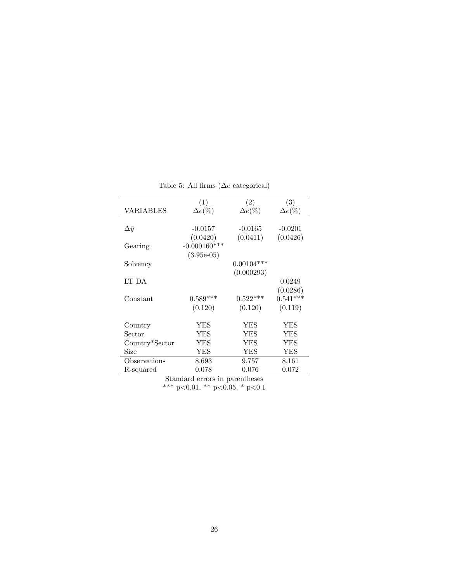|                |                       | (3)                                        |
|----------------|-----------------------|--------------------------------------------|
|                |                       | $\Delta e(\%)$                             |
|                |                       |                                            |
| $-0.0157$      | $-0.0165$             | $-0.0201$                                  |
| (0.0420)       | (0.0411)              | (0.0426)                                   |
| $-0.000160***$ |                       |                                            |
| $(3.95e-05)$   |                       |                                            |
|                | $0.00104***$          |                                            |
|                | (0.000293)            |                                            |
|                |                       | 0.0249                                     |
|                |                       | (0.0286)                                   |
| $0.589***$     | $0.522***$            | $0.541***$                                 |
| (0.120)        | (0.120)               | (0.119)                                    |
| YES            | YES                   | YES                                        |
| YES            |                       | YES                                        |
| YES            | YES                   | YES                                        |
| YES            | YES                   | YES                                        |
| 8,693          | 9,757                 | 8,161                                      |
| 0.078          | 0.076                 | 0.072                                      |
|                | (1)<br>$\Delta e(\%)$ | $\left( 2\right)$<br>$\Delta e(\%)$<br>YES |

Table 5: All firms  $(\Delta e \text{ categorical})$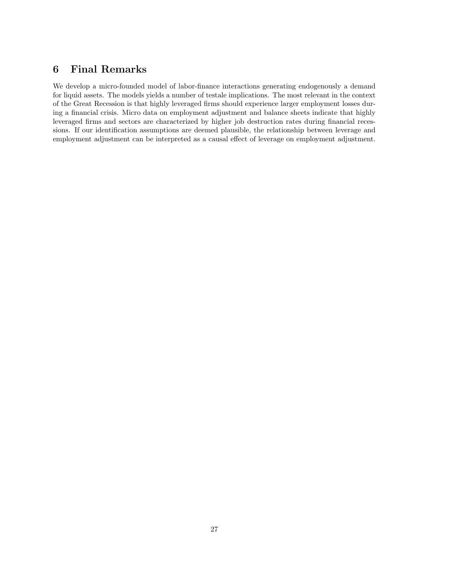# 6 Final Remarks

We develop a micro-founded model of labor-finance interactions generating endogenously a demand for liquid assets. The models yields a number of testale implications. The most relevant in the context of the Great Recession is that highly leveraged firms should experience larger employment losses during a financial crisis. Micro data on employment adjustment and balance sheets indicate that highly leveraged firms and sectors are characterized by higher job destruction rates during financial recessions. If our identification assumptions are deemed plausible, the relationship between leverage and employment adjustment can be interpreted as a causal effect of leverage on employment adjustment.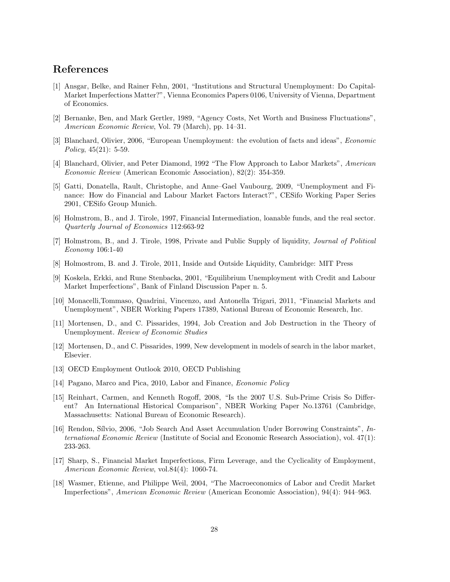### References

- [1] Ansgar, Belke, and Rainer Fehn, 2001, "Institutions and Structural Unemployment: Do Capital-Market Imperfections Matter?", Vienna Economics Papers 0106, University of Vienna, Department of Economics.
- [2] Bernanke, Ben, and Mark Gertler, 1989, "Agency Costs, Net Worth and Business Fluctuations", American Economic Review, Vol. 79 (March), pp. 14–31.
- [3] Blanchard, Olivier, 2006, "European Unemployment: the evolution of facts and ideas", Economic Policy, 45(21): 5-59.
- [4] Blanchard, Olivier, and Peter Diamond, 1992 "The Flow Approach to Labor Markets", American Economic Review (American Economic Association), 82(2): 354-359.
- [5] Gatti, Donatella, Rault, Christophe, and Anne–Gael Vaubourg, 2009, "Unemployment and Finance: How do Financial and Labour Market Factors Interact?", CESifo Working Paper Series 2901, CESifo Group Munich.
- [6] Holmstrom, B., and J. Tirole, 1997, Financial Intermediation, loanable funds, and the real sector. Quarterly Journal of Economics 112:663-92
- [7] Holmstrom, B., and J. Tirole, 1998, Private and Public Supply of liquidity, Journal of Political Economy 106:1-40
- [8] Holmostrom, B. and J. Tirole, 2011, Inside and Outside Liquidity, Cambridge: MIT Press
- [9] Koskela, Erkki, and Rune Stenbacka, 2001, "Equilibrium Unemployment with Credit and Labour Market Imperfections", Bank of Finland Discussion Paper n. 5.
- [10] Monacelli,Tommaso, Quadrini, Vincenzo, and Antonella Trigari, 2011, "Financial Markets and Unemployment", NBER Working Papers 17389, National Bureau of Economic Research, Inc.
- [11] Mortensen, D., and C. Pissarides, 1994, Job Creation and Job Destruction in the Theory of Unemployment. Review of Economic Studies
- [12] Mortensen, D., and C. Pissarides, 1999, New development in models of search in the labor market, Elsevier.
- [13] OECD Employment Outlook 2010, OECD Publishing
- [14] Pagano, Marco and Pica, 2010, Labor and Finance, *Economic Policy*
- [15] Reinhart, Carmen, and Kenneth Rogoff, 2008, "Is the 2007 U.S. Sub-Prime Crisis So Different? An International Historical Comparison", NBER Working Paper No.13761 (Cambridge, Massachusetts: National Bureau of Economic Research).
- [16] Rendon, Sílvio, 2006, "Job Search And Asset Accumulation Under Borrowing Constraints",  $In$ ternational Economic Review (Institute of Social and Economic Research Association), vol. 47(1): 233-263.
- [17] Sharp, S., Financial Market Imperfections, Firm Leverage, and the Cyclicality of Employment, American Economic Review, vol.84(4): 1060-74.
- [18] Wasmer, Etienne, and Philippe Weil, 2004, "The Macroeconomics of Labor and Credit Market Imperfections", American Economic Review (American Economic Association), 94(4): 944–963.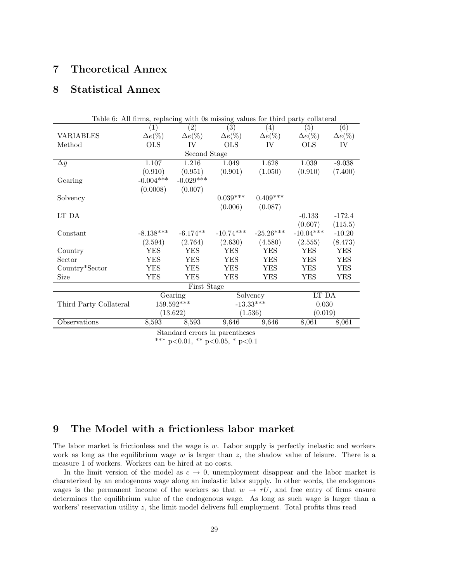# 7 Theoretical Annex

# 8 Statistical Annex

| (2)<br>(3)<br>(4)<br>(6)<br>(5)<br>$\left( 1\right)$<br>$\Delta e(\%)$<br>$\Delta e(\%)$<br>$\Delta e(\%)$<br>$\Delta e(\%)$<br><b>VARIABLES</b><br>$\Delta e(\%)$<br>$\Delta e(\%)$<br><b>OLS</b><br><b>OLS</b><br>IV<br><b>OLS</b><br>IV<br>Method<br>IV<br>Second Stage<br>1.628<br>1.107<br>1.216<br>1.039<br>$-9.038$<br>1.049<br>$\Delta \bar{y}$<br>(0.910)<br>(0.901)<br>(0.910)<br>(7.400)<br>(0.951)<br>(1.050)<br>$-0.029***$<br>$-0.004***$<br>Gearing<br>(0.0008)<br>(0.007)<br>$0.039***$<br>$0.409***$<br>Solvency<br>(0.006)<br>(0.087)<br>LT DA<br>$-0.133$<br>$-172.4$<br>(0.607)<br>(115.5)<br>$-8.138***$<br>$-10.74***$<br>$-25.26***$<br>$-10.04***$<br>$-6.174**$<br>Constant<br>$-10.20$<br>(2.764)<br>(2.630)<br>(4.580)<br>(2.555)<br>(8.473)<br>(2.594)<br><b>YES</b><br><b>YES</b><br><b>YES</b><br><b>YES</b><br><b>YES</b><br><b>YES</b><br>Country<br><b>YES</b><br><b>YES</b><br>Sector<br>YES<br>YES<br>YES<br>YES<br><b>YES</b><br><b>YES</b><br>Country*Sector<br>YES<br>YES<br>YES<br>YES<br>Size<br>YES<br>YES<br>YES<br>YES<br>YES<br>YES<br>First Stage<br>LT DA<br>Solvency<br>Gearing<br>159.592***<br>$-13.33***$<br>0.030<br>Third Party Collateral<br>(13.622)<br>(1.536)<br>(0.019)<br>8,061<br>Observations<br>8,593<br>9,646<br>8,593<br>9,646<br>8,061 |  | Table 6: All firms, replacing with 0s missing values for third party collateral |  |  |  |  |  |  |
|--------------------------------------------------------------------------------------------------------------------------------------------------------------------------------------------------------------------------------------------------------------------------------------------------------------------------------------------------------------------------------------------------------------------------------------------------------------------------------------------------------------------------------------------------------------------------------------------------------------------------------------------------------------------------------------------------------------------------------------------------------------------------------------------------------------------------------------------------------------------------------------------------------------------------------------------------------------------------------------------------------------------------------------------------------------------------------------------------------------------------------------------------------------------------------------------------------------------------------------------------------------------------------------------------------|--|---------------------------------------------------------------------------------|--|--|--|--|--|--|
|                                                                                                                                                                                                                                                                                                                                                                                                                                                                                                                                                                                                                                                                                                                                                                                                                                                                                                                                                                                                                                                                                                                                                                                                                                                                                                        |  |                                                                                 |  |  |  |  |  |  |
|                                                                                                                                                                                                                                                                                                                                                                                                                                                                                                                                                                                                                                                                                                                                                                                                                                                                                                                                                                                                                                                                                                                                                                                                                                                                                                        |  |                                                                                 |  |  |  |  |  |  |
|                                                                                                                                                                                                                                                                                                                                                                                                                                                                                                                                                                                                                                                                                                                                                                                                                                                                                                                                                                                                                                                                                                                                                                                                                                                                                                        |  |                                                                                 |  |  |  |  |  |  |
|                                                                                                                                                                                                                                                                                                                                                                                                                                                                                                                                                                                                                                                                                                                                                                                                                                                                                                                                                                                                                                                                                                                                                                                                                                                                                                        |  |                                                                                 |  |  |  |  |  |  |
|                                                                                                                                                                                                                                                                                                                                                                                                                                                                                                                                                                                                                                                                                                                                                                                                                                                                                                                                                                                                                                                                                                                                                                                                                                                                                                        |  |                                                                                 |  |  |  |  |  |  |
|                                                                                                                                                                                                                                                                                                                                                                                                                                                                                                                                                                                                                                                                                                                                                                                                                                                                                                                                                                                                                                                                                                                                                                                                                                                                                                        |  |                                                                                 |  |  |  |  |  |  |
|                                                                                                                                                                                                                                                                                                                                                                                                                                                                                                                                                                                                                                                                                                                                                                                                                                                                                                                                                                                                                                                                                                                                                                                                                                                                                                        |  |                                                                                 |  |  |  |  |  |  |
|                                                                                                                                                                                                                                                                                                                                                                                                                                                                                                                                                                                                                                                                                                                                                                                                                                                                                                                                                                                                                                                                                                                                                                                                                                                                                                        |  |                                                                                 |  |  |  |  |  |  |
|                                                                                                                                                                                                                                                                                                                                                                                                                                                                                                                                                                                                                                                                                                                                                                                                                                                                                                                                                                                                                                                                                                                                                                                                                                                                                                        |  |                                                                                 |  |  |  |  |  |  |
|                                                                                                                                                                                                                                                                                                                                                                                                                                                                                                                                                                                                                                                                                                                                                                                                                                                                                                                                                                                                                                                                                                                                                                                                                                                                                                        |  |                                                                                 |  |  |  |  |  |  |
|                                                                                                                                                                                                                                                                                                                                                                                                                                                                                                                                                                                                                                                                                                                                                                                                                                                                                                                                                                                                                                                                                                                                                                                                                                                                                                        |  |                                                                                 |  |  |  |  |  |  |
|                                                                                                                                                                                                                                                                                                                                                                                                                                                                                                                                                                                                                                                                                                                                                                                                                                                                                                                                                                                                                                                                                                                                                                                                                                                                                                        |  |                                                                                 |  |  |  |  |  |  |
|                                                                                                                                                                                                                                                                                                                                                                                                                                                                                                                                                                                                                                                                                                                                                                                                                                                                                                                                                                                                                                                                                                                                                                                                                                                                                                        |  |                                                                                 |  |  |  |  |  |  |
|                                                                                                                                                                                                                                                                                                                                                                                                                                                                                                                                                                                                                                                                                                                                                                                                                                                                                                                                                                                                                                                                                                                                                                                                                                                                                                        |  |                                                                                 |  |  |  |  |  |  |
|                                                                                                                                                                                                                                                                                                                                                                                                                                                                                                                                                                                                                                                                                                                                                                                                                                                                                                                                                                                                                                                                                                                                                                                                                                                                                                        |  |                                                                                 |  |  |  |  |  |  |
|                                                                                                                                                                                                                                                                                                                                                                                                                                                                                                                                                                                                                                                                                                                                                                                                                                                                                                                                                                                                                                                                                                                                                                                                                                                                                                        |  |                                                                                 |  |  |  |  |  |  |
|                                                                                                                                                                                                                                                                                                                                                                                                                                                                                                                                                                                                                                                                                                                                                                                                                                                                                                                                                                                                                                                                                                                                                                                                                                                                                                        |  |                                                                                 |  |  |  |  |  |  |
|                                                                                                                                                                                                                                                                                                                                                                                                                                                                                                                                                                                                                                                                                                                                                                                                                                                                                                                                                                                                                                                                                                                                                                                                                                                                                                        |  |                                                                                 |  |  |  |  |  |  |
|                                                                                                                                                                                                                                                                                                                                                                                                                                                                                                                                                                                                                                                                                                                                                                                                                                                                                                                                                                                                                                                                                                                                                                                                                                                                                                        |  |                                                                                 |  |  |  |  |  |  |
|                                                                                                                                                                                                                                                                                                                                                                                                                                                                                                                                                                                                                                                                                                                                                                                                                                                                                                                                                                                                                                                                                                                                                                                                                                                                                                        |  |                                                                                 |  |  |  |  |  |  |
|                                                                                                                                                                                                                                                                                                                                                                                                                                                                                                                                                                                                                                                                                                                                                                                                                                                                                                                                                                                                                                                                                                                                                                                                                                                                                                        |  |                                                                                 |  |  |  |  |  |  |
|                                                                                                                                                                                                                                                                                                                                                                                                                                                                                                                                                                                                                                                                                                                                                                                                                                                                                                                                                                                                                                                                                                                                                                                                                                                                                                        |  |                                                                                 |  |  |  |  |  |  |
|                                                                                                                                                                                                                                                                                                                                                                                                                                                                                                                                                                                                                                                                                                                                                                                                                                                                                                                                                                                                                                                                                                                                                                                                                                                                                                        |  |                                                                                 |  |  |  |  |  |  |

Standard errors in parentheses

\*\*\* p<0.01, \*\* p<0.05, \* p<0.1

## 9 The Model with a frictionless labor market

The labor market is frictionless and the wage is  $w$ . Labor supply is perfectly inelastic and workers work as long as the equilibrium wage  $w$  is larger than  $z$ , the shadow value of leisure. There is a measure 1 of workers. Workers can be hired at no costs.

In the limit version of the model as  $c \to 0$ , unemployment disappear and the labor market is charaterized by an endogenous wage along an inelastic labor supply. In other words, the endogenous wages is the permanent income of the workers so that  $w \to rU$ , and free entry of firms ensure determines the equilibrium value of the endogenous wage. As long as such wage is larger than a workers' reservation utility z, the limit model delivers full employment. Total profits thus read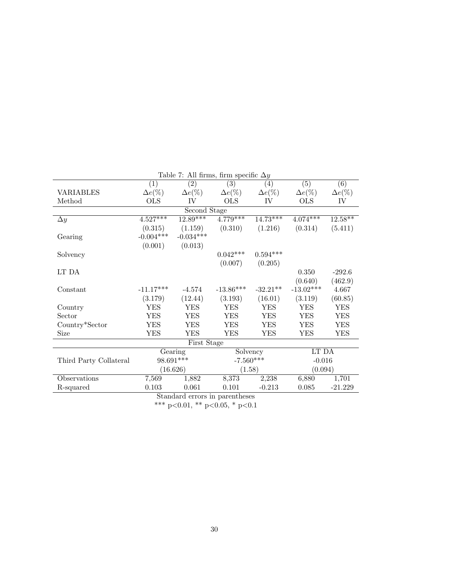| Table 7: All firms, firm specific $\Delta y$ |                |                |                                |                |                  |                  |
|----------------------------------------------|----------------|----------------|--------------------------------|----------------|------------------|------------------|
|                                              | (1)            | (2)            | (3)                            | (4)            | $\overline{(5)}$ | $\overline{(6)}$ |
| VARIABLES                                    | $\Delta e(\%)$ | $\Delta e(\%)$ | $\Delta e(\%)$                 | $\Delta e(\%)$ | $\Delta e(\%)$   | $\Delta e(\%)$   |
| Method                                       | <b>OLS</b>     | IV             | <b>OLS</b>                     | IV             | <b>OLS</b>       | IV               |
|                                              |                | Second Stage   |                                |                |                  |                  |
| $\Delta y$                                   | $4.527***$     | $12.89***$     | $4.779***$                     | $14.73***$     | $4.074***$       | $12.58***$       |
|                                              | (0.315)        | (1.159)        | (0.310)                        | (1.216)        | (0.314)          | (5.411)          |
| Gearing                                      | $-0.004***$    | $-0.034***$    |                                |                |                  |                  |
|                                              | (0.001)        | (0.013)        |                                |                |                  |                  |
| Solvency                                     |                |                | $0.042***$                     | $0.594***$     |                  |                  |
|                                              |                |                | (0.007)                        | (0.205)        |                  |                  |
| LT DA                                        |                |                |                                |                | 0.350            | $-292.6$         |
|                                              |                |                |                                |                | (0.640)          | (462.9)          |
| Constant                                     | $-11.17***$    | $-4.574$       | $-13.86***$                    | $-32.21**$     | $-13.02***$      | 4.667            |
|                                              | (3.179)        | (12.44)        | (3.193)                        | (16.01)        | (3.119)          | (60.85)          |
| Country                                      | <b>YES</b>     | <b>YES</b>     | <b>YES</b>                     | <b>YES</b>     | YES              | <b>YES</b>       |
| Sector                                       | YES            | YES            | YES                            | YES            | YES              | YES              |
| Country*Sector                               | YES            | YES            | YES                            | YES            | YES              | YES              |
| Size                                         | YES            | <b>YES</b>     | <b>YES</b>                     | <b>YES</b>     | <b>YES</b>       | <b>YES</b>       |
|                                              |                | First Stage    |                                |                |                  |                  |
|                                              |                | Gearing        | Solvency                       |                | LT DA            |                  |
| Third Party Collateral                       | 98.691***      |                | $-7.560***$                    |                | $-0.016$         |                  |
|                                              |                | (16.626)       | (1.58)                         |                | (0.094)          |                  |
| Observations                                 | 7,569          | 1,882          | 8,373                          | 2,238          | 6,880            | 1,701            |
| R-squared                                    | 0.103          | 0.061          | 0.101                          | $-0.213$       | 0.085            | $-21.229$        |
|                                              |                |                | Standard errors in parentheses |                |                  |                  |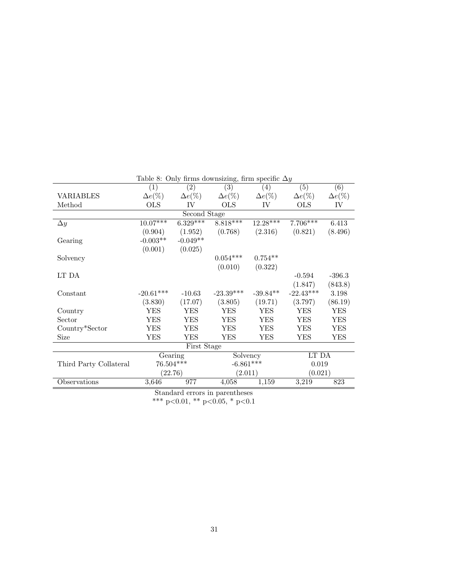|                        |                  |                  | Lable $\circ$ : Only minis downsizing, mini specific $\Delta y$ |                   |                  |                  |
|------------------------|------------------|------------------|-----------------------------------------------------------------|-------------------|------------------|------------------|
|                        | $\overline{(1)}$ | $\overline{(2)}$ | $\overline{(3)}$                                                | $\left( 4\right)$ | $\overline{(5)}$ | $\overline{(6)}$ |
| <b>VARIABLES</b>       | $\Delta e(\%)$   | $\Delta e(\%)$   | $\Delta e(\%)$                                                  | $\Delta e(\%)$    | $\Delta e(\%)$   | $\Delta e(\%)$   |
| Method                 | <b>OLS</b>       | IV               | <b>OLS</b>                                                      | IV                | <b>OLS</b>       | IV               |
|                        |                  | Second Stage     |                                                                 |                   |                  |                  |
| $\Delta y$             | $10.07***$       | $6.329***$       | $8.818***$                                                      | $12.28***$        | $7.706***$       | 6.413            |
|                        | (0.904)          | (1.952)          | (0.768)                                                         | (2.316)           | (0.821)          | (8.496)          |
| Gearing                | $-0.003**$       | $-0.049**$       |                                                                 |                   |                  |                  |
|                        | (0.001)          | (0.025)          |                                                                 |                   |                  |                  |
| Solvency               |                  |                  | $0.054***$                                                      | $0.754**$         |                  |                  |
|                        |                  |                  | (0.010)                                                         | (0.322)           |                  |                  |
| LT DA                  |                  |                  |                                                                 |                   | $-0.594$         | $-396.3$         |
|                        |                  |                  |                                                                 |                   | (1.847)          | (843.8)          |
| Constant               | $-20.61***$      | $-10.63$         | $-23.39***$                                                     | $-39.84**$        | $-22.43***$      | 3.198            |
|                        | (3.830)          | (17.07)          | (3.805)                                                         | (19.71)           | (3.797)          | (86.19)          |
| Country                | <b>YES</b>       | <b>YES</b>       | <b>YES</b>                                                      | <b>YES</b>        | <b>YES</b>       | <b>YES</b>       |
| Sector                 | <b>YES</b>       | <b>YES</b>       | <b>YES</b>                                                      | <b>YES</b>        | <b>YES</b>       | <b>YES</b>       |
| Country*Sector         | <b>YES</b>       | <b>YES</b>       | <b>YES</b>                                                      | YES               | <b>YES</b>       | <b>YES</b>       |
| Size                   | <b>YES</b>       | <b>YES</b>       | <b>YES</b>                                                      | YES               | YES              | <b>YES</b>       |
|                        |                  | First Stage      |                                                                 |                   |                  |                  |
|                        | Gearing          |                  | Solvency                                                        |                   | LT DA            |                  |
| Third Party Collateral | 76.504***        |                  | $-6.861***$                                                     |                   | 0.019            |                  |
|                        |                  | (22.76)          | (2.011)                                                         |                   | (0.021)          |                  |
| <b>Observations</b>    | 3,646            | 977              | 4,058                                                           | 1,159             | 3,219            | 823              |
|                        |                  |                  | Standard errors in parentheses                                  |                   |                  |                  |

Table 8: Only firms downsizing, firm specific  $\Delta y$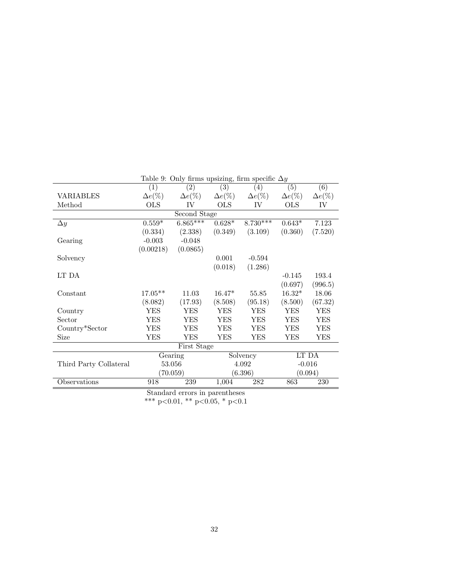|                        |                   | Lable 3. Only millis upsizing, milli specific $\Delta y$ |                  |                   |                  |                  |
|------------------------|-------------------|----------------------------------------------------------|------------------|-------------------|------------------|------------------|
|                        | $\left( 1\right)$ | (2)                                                      | $\overline{(3)}$ | $\left( 4\right)$ | $\overline{(5)}$ | $\overline{(6)}$ |
| <b>VARIABLES</b>       | $\Delta e(\%)$    | $\Delta e(\%)$                                           | $\Delta e(\%)$   | $\Delta e(\%)$    | $\Delta e(\%)$   | $\Delta e(\%)$   |
| Method                 | OLS               | IV                                                       | <b>OLS</b>       | IV                | <b>OLS</b>       | IV               |
|                        |                   | Second Stage                                             |                  |                   |                  |                  |
| $\Delta y$             | $0.559*$          | $6.865***$                                               | $0.628*$         | $8.730***$        | $0.643*$         | 7.123            |
|                        | (0.334)           | (2.338)                                                  | (0.349)          | (3.109)           | (0.360)          | (7.520)          |
| Gearing                | $-0.003$          | $-0.048$                                                 |                  |                   |                  |                  |
|                        | (0.00218)         | (0.0865)                                                 |                  |                   |                  |                  |
| Solvency               |                   |                                                          | 0.001            | $-0.594$          |                  |                  |
|                        |                   |                                                          | (0.018)          | (1.286)           |                  |                  |
| LT DA                  |                   |                                                          |                  |                   | $-0.145$         | 193.4            |
|                        |                   |                                                          |                  |                   | (0.697)          | (996.5)          |
| Constant               | $17.05**$         | 11.03                                                    | $16.47*$         | 55.85             | $16.32*$         | 18.06            |
|                        | (8.082)           | (17.93)                                                  | (8.508)          | (95.18)           | (8.500)          | (67.32)          |
| Country                | <b>YES</b>        | <b>YES</b>                                               | <b>YES</b>       | <b>YES</b>        | <b>YES</b>       | <b>YES</b>       |
| Sector                 | <b>YES</b>        | YES                                                      | YES              | YES               | YES              | YES              |
| Country*Sector         | <b>YES</b>        | <b>YES</b>                                               | <b>YES</b>       | <b>YES</b>        | <b>YES</b>       | <b>YES</b>       |
| Size                   | <b>YES</b>        | YES                                                      | YES              | YES               | YES              | YES              |
|                        |                   | First Stage                                              |                  |                   |                  |                  |
|                        |                   | Gearing                                                  |                  | Solvency          |                  | LT DA            |
| Third Party Collateral |                   | 53.056                                                   |                  | 4.092             |                  | $-0.016$         |
|                        |                   | (70.059)                                                 |                  | (6.396)           |                  | (0.094)          |
| Observations           | 918               | 239                                                      | 1,004            | 282               | 863              | 230              |
|                        |                   | Standard errors in parentheses                           |                  |                   |                  |                  |
|                        |                   |                                                          |                  |                   |                  |                  |

Table 9: Only firms upsizing, firm specific  $\Delta y$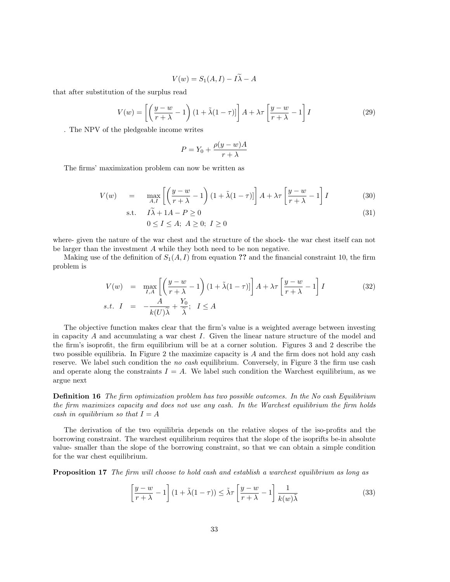$$
V(w) = S_1(A, I) - I\tilde{\lambda} - A
$$

that after substitution of the surplus read

$$
V(w) = \left[ \left( \frac{y - w}{r + \lambda} - 1 \right) \left( 1 + \tilde{\lambda} (1 - \tau) \right] \right] A + \lambda \tau \left[ \frac{y - w}{r + \lambda} - 1 \right] I \tag{29}
$$

. The NPV of the pledgeable income writes

$$
P = Y_0 + \frac{\rho(y - w)A}{r + \lambda}
$$

The firms' maximization problem can now be written as

$$
V(w) = \max_{A,I} \left[ \left( \frac{y - w}{r + \lambda} - 1 \right) \left( 1 + \tilde{\lambda} (1 - \tau) \right] \right] A + \lambda \tau \left[ \frac{y - w}{r + \lambda} - 1 \right] I \tag{30}
$$

$$
\text{s.t.} \quad I\tilde{\lambda} + 1A - P \ge 0 \tag{31}
$$

$$
0 \le I \le A; \ A \ge 0; \ I \ge 0
$$

where- given the nature of the war chest and the structure of the shock- the war chest itself can not be larger than the investment A while they both need to be non negative.

Making use of the definition of  $S_1(A, I)$  from equation ?? and the financial constraint 10, the firm problem is

$$
V(w) = \max_{I,A} \left[ \left( \frac{y - w}{r + \lambda} - 1 \right) \left( 1 + \tilde{\lambda} (1 - \tau) \right] \right] A + \lambda \tau \left[ \frac{y - w}{r + \lambda} - 1 \right] I
$$
 (32)  
s.t.  $I = -\frac{A}{k(U)\tilde{\lambda}} + \frac{Y_0}{\tilde{\lambda}}; \quad I \leq A$ 

The objective function makes clear that the firm's value is a weighted average between investing in capacity  $A$  and accumulating a war chest  $I$ . Given the linear nature structure of the model and the firm's isoprofit, the firm equilibrium will be at a corner solution. Figures 3 and 2 describe the two possible equilibria. In Figure 2 the maximize capacity is A and the firm does not hold any cash reserve. We label such condition the no cash equilibrium. Conversely, in Figure 3 the firm use cash and operate along the constraints  $I = A$ . We label such condition the Warchest equilibrium, as we argue next

Definition 16 The firm optimization problem has two possible outcomes. In the No cash Equilibrium the firm maximizes capacity and does not use any cash. In the Warchest equilibrium the firm holds cash in equilibrium so that  $I = A$ 

The derivation of the two equilibria depends on the relative slopes of the iso-profits and the borrowing constraint. The warchest equilibrium requires that the slope of the isoprifts be-in absolute value- smaller than the slope of the borrowing constraint, so that we can obtain a simple condition for the war chest equilibrium.

Proposition 17 The firm will choose to hold cash and establish a warchest equilibrium as long as

$$
\left[\frac{y-w}{r+\lambda} - 1\right] \left(1 + \tilde{\lambda}(1-\tau)\right) \le \tilde{\lambda}\tau \left[\frac{y-w}{r+\lambda} - 1\right] \frac{1}{k(w)\tilde{\lambda}}
$$
\n(33)